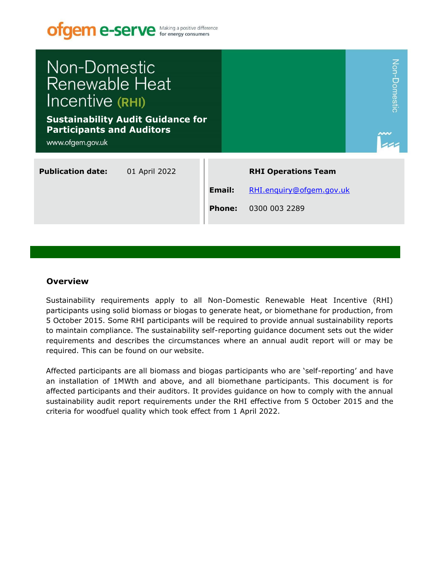

### **Overview**

Sustainability requirements apply to all Non-Domestic Renewable Heat Incentive (RHI) participants using solid biomass or biogas to generate heat, or biomethane for production, from 5 October 2015. Some RHI participants will be required to provide annual sustainability reports to maintain compliance. The sustainability self-reporting guidance document sets out the wider requirements and describes the circumstances where an annual audit report will or may be required. This can be found on our website.

Affected participants are all biomass and biogas participants who are 'self-reporting' and have an installation of 1MWth and above, and all biomethane participants. This document is for affected participants and their auditors. It provides guidance on how to comply with the annual sustainability audit report requirements under the RHI effective from 5 October 2015 and the criteria for woodfuel quality which took effect from 1 April 2022.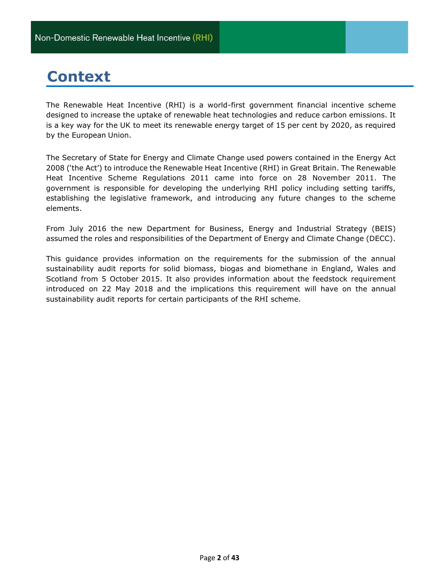# **Context**

The Renewable Heat Incentive (RHI) is a world-first government financial incentive scheme designed to increase the uptake of renewable heat technologies and reduce carbon emissions. It is a key way for the UK to meet its renewable energy target of 15 per cent by 2020, as required by the European Union.

The Secretary of State for Energy and Climate Change used powers contained in the Energy Act 2008 ('the Act') to introduce the Renewable Heat Incentive (RHI) in Great Britain. The Renewable Heat Incentive Scheme Regulations 2011 came into force on 28 November 2011. The government is responsible for developing the underlying RHI policy including setting tariffs, establishing the legislative framework, and introducing any future changes to the scheme elements.

From July 2016 the new Department for Business, Energy and Industrial Strategy (BEIS) assumed the roles and responsibilities of the Department of Energy and Climate Change (DECC).

This guidance provides information on the requirements for the submission of the annual sustainability audit reports for solid biomass, biogas and biomethane in England, Wales and Scotland from 5 October 2015. It also provides information about the feedstock requirement introduced on 22 May 2018 and the implications this requirement will have on the annual sustainability audit reports for certain participants of the RHI scheme.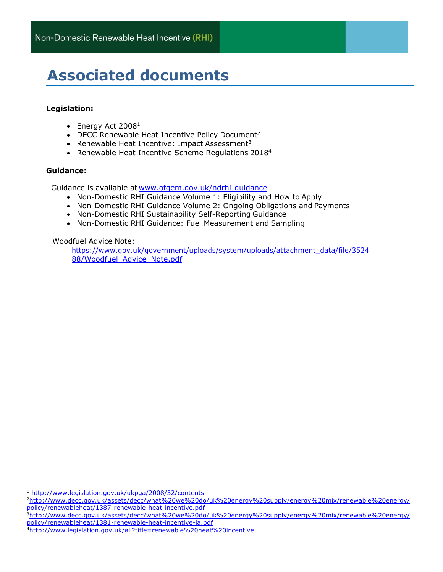# **Associated documents**

### **Legislation:**

- Energy Act  $2008<sup>1</sup>$
- DECC Renewable Heat Incentive Policy Document<sup>2</sup>
- Renewable Heat Incentive: Impact Assessment<sup>3</sup>
- Renewable Heat Incentive Scheme Regulations 2018<sup>4</sup>

### **Guidance:**

Guidance is available at [www.ofgem.gov.uk/ndrhi-guidance](http://www.ofgem.gov.uk/ndrhi-guidance)

- Non-Domestic RHI Guidance Volume 1: Eligibility and How to Apply
- Non-Domestic RHI Guidance Volume 2: Ongoing Obligations and Payments
- Non-Domestic RHI Sustainability Self-Reporting Guidance
- Non-Domestic RHI Guidance: Fuel Measurement and Sampling

Woodfuel Advice Note:

https://www.gov.uk/government/uploads/system/uploads/attachment\_data/file/3524 [88/Woodfuel\\_Advice\\_Note.pdf](https://www.gov.uk/government/uploads/system/uploads/attachment_data/file/352488/Woodfuel_Advice_Note.pdf)

<sup>1</sup> <http://www.legislation.gov.uk/ukpga/2008/32/contents>

<sup>3</sup>[http://www.decc.gov.uk/assets/decc/what%20we%20do/uk%20energy%20supply/energy%20mix/renewable%20energy/](http://www.decc.gov.uk/assets/decc/what%20we%20do/uk%20energy%20supply/energy%20mix/renewable%20energy/policy/renewableheat/1381-renewable-heat-incentive-ia.pdf) [policy/renewableheat/1381-renewable-heat-incentive-ia.pdf](http://www.decc.gov.uk/assets/decc/what%20we%20do/uk%20energy%20supply/energy%20mix/renewable%20energy/policy/renewableheat/1381-renewable-heat-incentive-ia.pdf)

<sup>2</sup>[http://www.decc.gov.uk/assets/decc/what%20we%20do/uk%20energy%20supply/energy%20mix/renewable%20energy/](http://www.decc.gov.uk/assets/decc/what%20we%20do/uk%20energy%20supply/energy%20mix/renewable%20energy/policy/renewableheat/1387-renewable-heat-incentive.pdf) [policy/renewableheat/1387-renewable-heat-incentive.pdf](http://www.decc.gov.uk/assets/decc/what%20we%20do/uk%20energy%20supply/energy%20mix/renewable%20energy/policy/renewableheat/1387-renewable-heat-incentive.pdf)

<sup>4</sup><http://www.legislation.gov.uk/all?title=renewable%20heat%20incentive>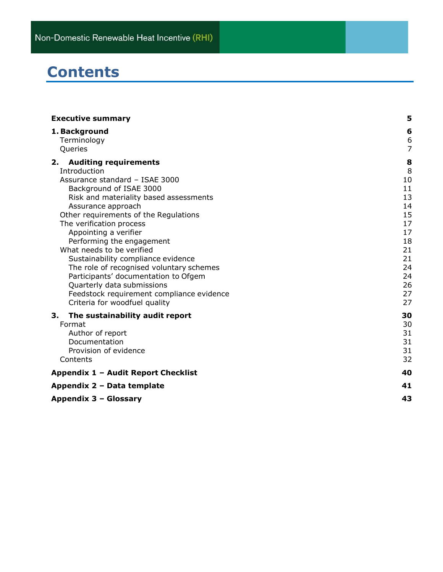# **Contents**

| <b>Executive summary</b>                                                                                                                                                                                                                                                                                                                                                                                                                                                                                                                                            | 5                                                                                                |
|---------------------------------------------------------------------------------------------------------------------------------------------------------------------------------------------------------------------------------------------------------------------------------------------------------------------------------------------------------------------------------------------------------------------------------------------------------------------------------------------------------------------------------------------------------------------|--------------------------------------------------------------------------------------------------|
| 1. Background<br>Terminology<br>Queries                                                                                                                                                                                                                                                                                                                                                                                                                                                                                                                             | 6<br>6<br>$\overline{7}$                                                                         |
| 2. Auditing requirements<br>Introduction<br>Assurance standard - ISAE 3000<br>Background of ISAE 3000<br>Risk and materiality based assessments<br>Assurance approach<br>Other requirements of the Regulations<br>The verification process<br>Appointing a verifier<br>Performing the engagement<br>What needs to be verified<br>Sustainability compliance evidence<br>The role of recognised voluntary schemes<br>Participants' documentation to Ofgem<br>Quarterly data submissions<br>Feedstock requirement compliance evidence<br>Criteria for woodfuel quality | 8<br>8<br>10<br>11<br>13<br>14<br>15<br>17<br>17<br>18<br>21<br>21<br>24<br>24<br>26<br>27<br>27 |
| 3.<br>The sustainability audit report<br>Format<br>Author of report<br>Documentation<br>Provision of evidence<br>Contents                                                                                                                                                                                                                                                                                                                                                                                                                                           | 30<br>30<br>31<br>31<br>31<br>32                                                                 |
| Appendix 1 - Audit Report Checklist                                                                                                                                                                                                                                                                                                                                                                                                                                                                                                                                 | 40                                                                                               |
| Appendix 2 - Data template                                                                                                                                                                                                                                                                                                                                                                                                                                                                                                                                          | 41                                                                                               |
| Appendix 3 - Glossary                                                                                                                                                                                                                                                                                                                                                                                                                                                                                                                                               | 43                                                                                               |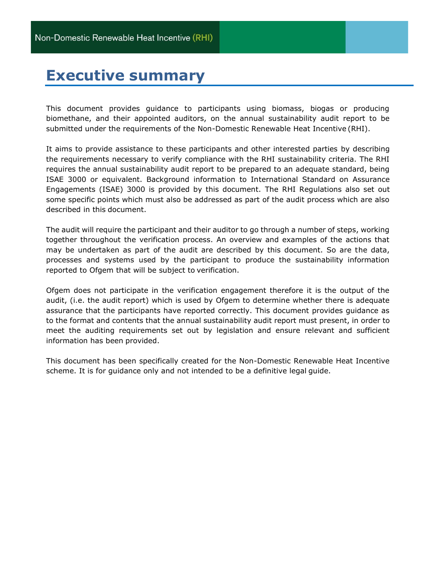# <span id="page-4-0"></span>**Executive summary**

This document provides guidance to participants using biomass, biogas or producing biomethane, and their appointed auditors, on the annual sustainability audit report to be submitted under the requirements of the Non-Domestic Renewable Heat Incentive (RHI).

It aims to provide assistance to these participants and other interested parties by describing the requirements necessary to verify compliance with the RHI sustainability criteria. The RHI requires the annual sustainability audit report to be prepared to an adequate standard, being ISAE 3000 or equivalent. Background information to International Standard on Assurance Engagements (ISAE) 3000 is provided by this document. The RHI Regulations also set out some specific points which must also be addressed as part of the audit process which are also described in this document.

The audit will require the participant and their auditor to go through a number of steps, working together throughout the verification process. An overview and examples of the actions that may be undertaken as part of the audit are described by this document. So are the data, processes and systems used by the participant to produce the sustainability information reported to Ofgem that will be subject to verification.

Ofgem does not participate in the verification engagement therefore it is the output of the audit, (i.e. the audit report) which is used by Ofgem to determine whether there is adequate assurance that the participants have reported correctly. This document provides guidance as to the format and contents that the annual sustainability audit report must present, in order to meet the auditing requirements set out by legislation and ensure relevant and sufficient information has been provided.

This document has been specifically created for the Non-Domestic Renewable Heat Incentive scheme. It is for guidance only and not intended to be a definitive legal guide.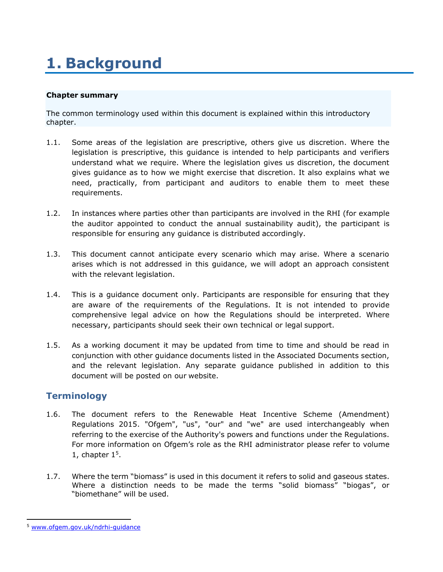# <span id="page-5-0"></span>**1. Background**

### **Chapter summary**

The common terminology used within this document is explained within this introductory chapter.

- 1.1. Some areas of the legislation are prescriptive, others give us discretion. Where the legislation is prescriptive, this guidance is intended to help participants and verifiers understand what we require. Where the legislation gives us discretion, the document gives guidance as to how we might exercise that discretion. It also explains what we need, practically, from participant and auditors to enable them to meet these requirements.
- 1.2. In instances where parties other than participants are involved in the RHI (for example the auditor appointed to conduct the annual sustainability audit), the participant is responsible for ensuring any guidance is distributed accordingly.
- 1.3. This document cannot anticipate every scenario which may arise. Where a scenario arises which is not addressed in this guidance, we will adopt an approach consistent with the relevant legislation.
- 1.4. This is a guidance document only. Participants are responsible for ensuring that they are aware of the requirements of the Regulations. It is not intended to provide comprehensive legal advice on how the Regulations should be interpreted. Where necessary, participants should seek their own technical or legal support.
- 1.5. As a working document it may be updated from time to time and should be read in conjunction with other guidance documents listed in the Associated Documents section, and the relevant legislation. Any separate guidance published in addition to this document will be posted on our website.

## <span id="page-5-1"></span>**Terminology**

- 1.6. The document refers to the Renewable Heat Incentive Scheme (Amendment) Regulations 2015. "Ofgem", "us", "our" and "we" are used interchangeably when referring to the exercise of the Authority's powers and functions under the Regulations. For more information on Ofgem's role as the RHI administrator please refer to volume 1, chapter  $1<sup>5</sup>$ .
- 1.7. Where the term "biomass" is used in this document it refers to solid and gaseous states. Where a distinction needs to be made the terms "solid biomass" "biogas", or "biomethane" will be used.

<sup>5</sup> [www.ofgem.gov.uk/ndrhi-guidance](http://www.ofgem.gov.uk/ndrhi-guidance)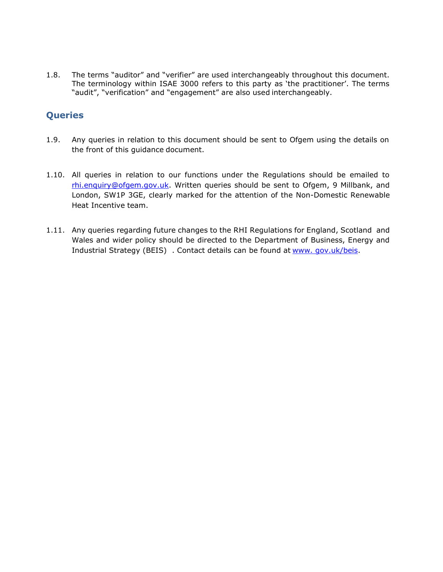1.8. The terms "auditor" and "verifier" are used interchangeably throughout this document. The terminology within ISAE 3000 refers to this party as 'the practitioner'. The terms "audit", "verification" and "engagement" are also used interchangeably.

## <span id="page-6-0"></span>**Queries**

- 1.9. Any queries in relation to this document should be sent to Ofgem using the details on the front of this guidance document.
- 1.10. All queries in relation to our functions under the Regulations should be emailed to [rhi.enquiry@ofgem.gov.uk.](mailto:rhi.enquiry@ofgem.gov.uk) Written queries should be sent to Ofgem, 9 Millbank, and London, SW1P 3GE, clearly marked for the attention of the Non-Domestic Renewable Heat Incentive team.
- 1.11. Any queries regarding future changes to the RHI Regulations for England, Scotland and Wales and wider policy should be directed to the Department of Business, Energy and Industrial Strategy (BEIS) . Contact details can be found at www. [gov.uk/](http://www.decc.gov.uk/)beis.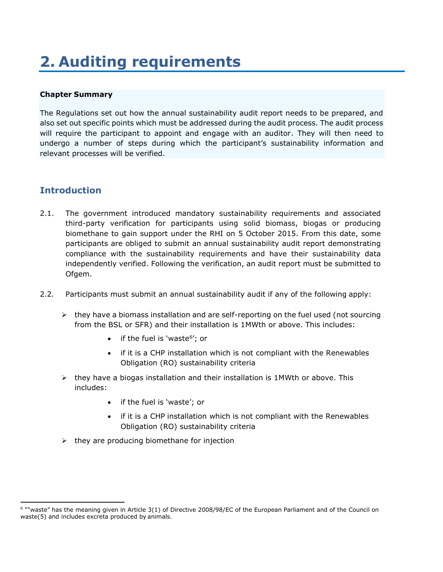# <span id="page-7-0"></span>**2. Auditing requirements**

### **Chapter Summary**

The Regulations set out how the annual sustainability audit report needs to be prepared, and also set out specific points which must be addressed during the audit process. The audit process will require the participant to appoint and engage with an auditor. They will then need to undergo a number of steps during which the participant's sustainability information and relevant processes will be verified.

## <span id="page-7-1"></span>**Introduction**

- 2.1. The government introduced mandatory sustainability requirements and associated third-party verification for participants using solid biomass, biogas or producing biomethane to gain support under the RHI on 5 October 2015. From this date, some participants are obliged to submit an annual sustainability audit report demonstrating compliance with the sustainability requirements and have their sustainability data independently verified. Following the verification, an audit report must be submitted to Ofgem.
- 2.2. Participants must submit an annual sustainability audit if any of the following apply:
	- $\triangleright$  they have a biomass installation and are self-reporting on the fuel used (not sourcing from the BSL or SFR) and their installation is 1MWth or above. This includes:
		- if the fuel is 'waste<sup>6</sup>'; or
		- if it is a CHP installation which is not compliant with the Renewables Obligation (RO) sustainability criteria
	- $\triangleright$  they have a biogas installation and their installation is 1MWth or above. This includes:
		- if the fuel is 'waste'; or
		- if it is a CHP installation which is not compliant with the Renewables Obligation (RO) sustainability criteria
	- $\triangleright$  they are producing biomethane for injection

<sup>&</sup>lt;sup>6</sup> ""waste" has the meaning given in Article 3(1) of [Directive](http://www.legislation.gov.uk/european/regulation/2008/0098) [2008/98/EC](http://www.legislation.gov.uk/european/regulation/2008/0098) of the European Parliament and of the Council on waste[\(5\)](http://www.legislation.gov.uk/uksi/2015/197/regulation/3/made#f00007) and includes excreta produced by animals.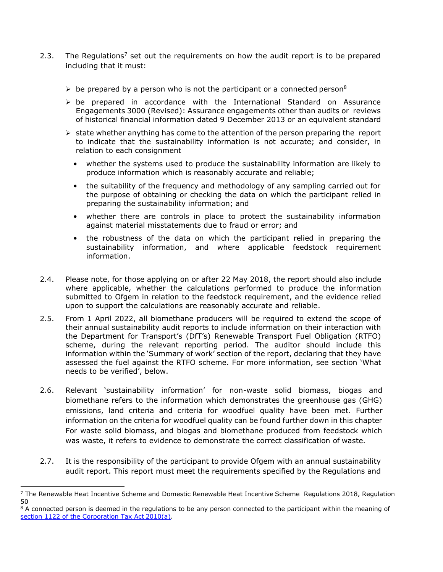- 2.3. The Regulations<sup>7</sup> set out the requirements on how the audit report is to be prepared including that it must:
	- $\triangleright$  be prepared by a person who is not the participant or a connected person<sup>8</sup>
	- $\triangleright$  be prepared in accordance with the International Standard on Assurance Engagements 3000 (Revised): Assurance engagements other than audits or reviews of historical financial information dated 9 December 2013 or an equivalent standard
	- $\triangleright$  state whether anything has come to the attention of the person preparing the report to indicate that the sustainability information is not accurate; and consider, in relation to each consignment
		- whether the systems used to produce the sustainability information are likely to produce information which is reasonably accurate and reliable;
		- the suitability of the frequency and methodology of any sampling carried out for the purpose of obtaining or checking the data on which the participant relied in preparing the sustainability information; and
		- whether there are controls in place to protect the sustainability information against material misstatements due to fraud or error; and
		- the robustness of the data on which the participant relied in preparing the sustainability information, and where applicable feedstock requirement information.
- 2.4. Please note, for those applying on or after 22 May 2018, the report should also include where applicable, whether the calculations performed to produce the information submitted to Ofgem in relation to the feedstock requirement, and the evidence relied upon to support the calculations are reasonably accurate and reliable.
- 2.5. From 1 April 2022, all biomethane producers will be required to extend the scope of their annual sustainability audit reports to include information on their interaction with the Department for Transport's (DfT's) Renewable Transport Fuel Obligation (RTFO) scheme, during the relevant reporting period. The auditor should include this information within the 'Summary of work' section of the report, declaring that they have assessed the fuel against the RTFO scheme. For more information, see section 'What needs to be verified', below.
- 2.6. Relevant 'sustainability information' for non-waste solid biomass, biogas and biomethane refers to the information which demonstrates the greenhouse gas (GHG) emissions, land criteria and criteria for woodfuel quality have been met. Further information on the criteria for woodfuel quality can be found further down in this chapter For waste solid biomass, and biogas and biomethane produced from feedstock which was waste, it refers to evidence to demonstrate the correct classification of waste.
- 2.7. It is the responsibility of the participant to provide Ofgem with an annual sustainability audit report. This report must meet the requirements specified by the Regulations and

 $<sup>7</sup>$  The Renewable Heat Incentive Scheme and Domestic Renewable Heat Incentive Scheme Regulations 2018, Regulation</sup> 50

<sup>&</sup>lt;sup>8</sup> A connected person is deemed in the requlations to be any person connected to the participant within the meaning of [section 1122 of the Corporation Tax Act](http://www.legislation.gov.uk/ukpga/2010/4/section/1122) 2010(a).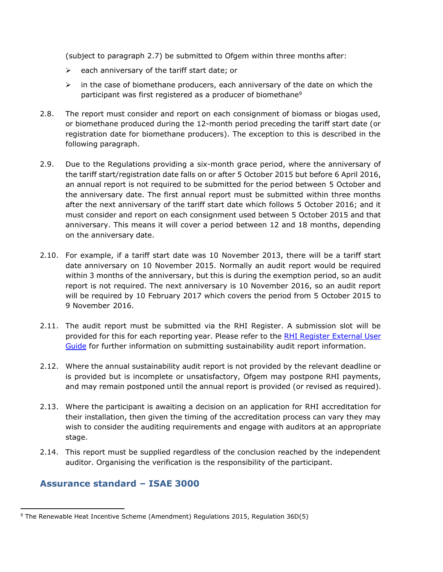(subject to paragraph 2.7) be submitted to Ofgem within three months after:

- $\triangleright$  each anniversary of the tariff start date; or
- $\triangleright$  in the case of biomethane producers, each anniversary of the date on which the participant was first registered as a producer of biomethane<sup>9</sup>
- 2.8. The report must consider and report on each consignment of biomass or biogas used, or biomethane produced during the 12-month period preceding the tariff start date (or registration date for biomethane producers). The exception to this is described in the following paragraph.
- 2.9. Due to the Regulations providing a six-month grace period, where the anniversary of the tariff start/registration date falls on or after 5 October 2015 but before 6 April 2016, an annual report is not required to be submitted for the period between 5 October and the anniversary date. The first annual report must be submitted within three months after the next anniversary of the tariff start date which follows 5 October 2016; and it must consider and report on each consignment used between 5 October 2015 and that anniversary. This means it will cover a period between 12 and 18 months, depending on the anniversary date.
- 2.10. For example, if a tariff start date was 10 November 2013, there will be a tariff start date anniversary on 10 November 2015. Normally an audit report would be required within 3 months of the anniversary, but this is during the exemption period, so an audit report is not required. The next anniversary is 10 November 2016, so an audit report will be required by 10 February 2017 which covers the period from 5 October 2015 to 9 November 2016.
- 2.11. The audit report must be submitted via the RHI Register. A submission slot will be provided for this for each reporting year. Please refer to the [RHI Register External User](https://www.ofgem.gov.uk/publications-and-updates/rhi-register-external-user-guide)  [Guide](https://www.ofgem.gov.uk/publications-and-updates/rhi-register-external-user-guide) for further information on submitting sustainability audit report information.
- 2.12. Where the annual sustainability audit report is not provided by the relevant deadline or is provided but is incomplete or unsatisfactory, Ofgem may postpone RHI payments, and may remain postponed until the annual report is provided (or revised as required).
- 2.13. Where the participant is awaiting a decision on an application for RHI accreditation for their installation, then given the timing of the accreditation process can vary they may wish to consider the auditing requirements and engage with auditors at an appropriate stage.
- 2.14. This report must be supplied regardless of the conclusion reached by the independent auditor. Organising the verification is the responsibility of the participant.

## <span id="page-9-0"></span>**Assurance standard – ISAE 3000**

<sup>9</sup> The Renewable Heat Incentive Scheme (Amendment) Regulations 2015, Regulation 36D(5)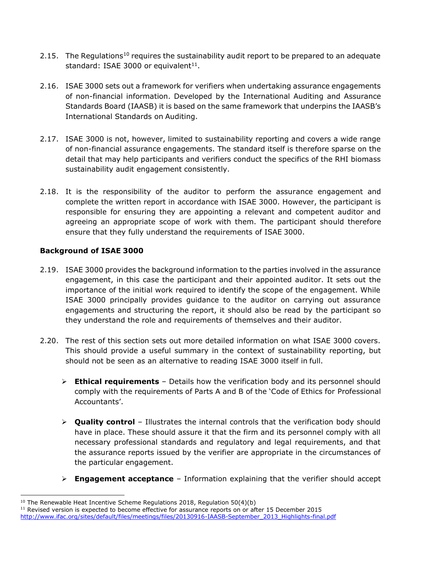- 2.15. The Regulations<sup>10</sup> requires the sustainability audit report to be prepared to an adequate standard: ISAE 3000 or equivalent $11$ .
- 2.16. ISAE 3000 sets out a framework for verifiers when undertaking assurance engagements of non-financial information. Developed by the International Auditing and Assurance Standards Board (IAASB) it is based on the same framework that underpins the IAASB's International Standards on Auditing.
- 2.17. ISAE 3000 is not, however, limited to sustainability reporting and covers a wide range of non-financial assurance engagements. The standard itself is therefore sparse on the detail that may help participants and verifiers conduct the specifics of the RHI biomass sustainability audit engagement consistently.
- 2.18. It is the responsibility of the auditor to perform the assurance engagement and complete the written report in accordance with ISAE 3000. However, the participant is responsible for ensuring they are appointing a relevant and competent auditor and agreeing an appropriate scope of work with them. The participant should therefore ensure that they fully understand the requirements of ISAE 3000.

### <span id="page-10-0"></span>**Background of ISAE 3000**

- 2.19. ISAE 3000 provides the background information to the parties involved in the assurance engagement, in this case the participant and their appointed auditor. It sets out the importance of the initial work required to identify the scope of the engagement. While ISAE 3000 principally provides guidance to the auditor on carrying out assurance engagements and structuring the report, it should also be read by the participant so they understand the role and requirements of themselves and their auditor.
- 2.20. The rest of this section sets out more detailed information on what ISAE 3000 covers. This should provide a useful summary in the context of sustainability reporting, but should not be seen as an alternative to reading ISAE 3000 itself in full.
	- ➢ **Ethical requirements**  Details how the verification body and its personnel should comply with the requirements of Parts A and B of the 'Code of Ethics for Professional Accountants'.
	- ➢ **Quality control**  Illustrates the internal controls that the verification body should have in place. These should assure it that the firm and its personnel comply with all necessary professional standards and regulatory and legal requirements, and that the assurance reports issued by the verifier are appropriate in the circumstances of the particular engagement.
	- ➢ **Engagement acceptance**  Information explaining that the verifier should accept

 $10$  The Renewable Heat Incentive Scheme Regulations 2018, Regulation 50(4)(b)

 $11$  Revised version is expected to become effective for assurance reports on or after 15 December 2015 [http://www.ifac.org/sites/default/files/meetings/files/20130916-IAASB-September\\_2013\\_Highlights-final.pdf](http://www.ifac.org/sites/default/files/meetings/files/20130916-IAASB-September_2013_Highlights-final.pdf)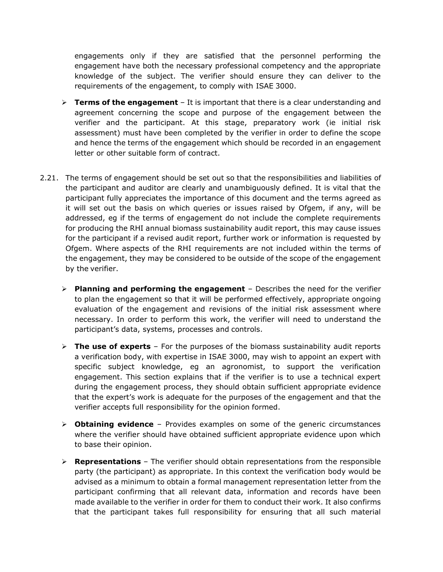engagements only if they are satisfied that the personnel performing the engagement have both the necessary professional competency and the appropriate knowledge of the subject. The verifier should ensure they can deliver to the requirements of the engagement, to comply with ISAE 3000.

- ➢ **Terms of the engagement**  It is important that there is a clear understanding and agreement concerning the scope and purpose of the engagement between the verifier and the participant. At this stage, preparatory work (ie initial risk assessment) must have been completed by the verifier in order to define the scope and hence the terms of the engagement which should be recorded in an engagement letter or other suitable form of contract.
- 2.21. The terms of engagement should be set out so that the responsibilities and liabilities of the participant and auditor are clearly and unambiguously defined. It is vital that the participant fully appreciates the importance of this document and the terms agreed as it will set out the basis on which queries or issues raised by Ofgem, if any, will be addressed, eg if the terms of engagement do not include the complete requirements for producing the RHI annual biomass sustainability audit report, this may cause issues for the participant if a revised audit report, further work or information is requested by Ofgem. Where aspects of the RHI requirements are not included within the terms of the engagement, they may be considered to be outside of the scope of the engagement by the verifier.
	- ➢ **Planning and performing the engagement**  Describes the need for the verifier to plan the engagement so that it will be performed effectively, appropriate ongoing evaluation of the engagement and revisions of the initial risk assessment where necessary. In order to perform this work, the verifier will need to understand the participant's data, systems, processes and controls.
	- ➢ **The use of experts**  For the purposes of the biomass sustainability audit reports a verification body, with expertise in ISAE 3000, may wish to appoint an expert with specific subject knowledge, eg an agronomist, to support the verification engagement. This section explains that if the verifier is to use a technical expert during the engagement process, they should obtain sufficient appropriate evidence that the expert's work is adequate for the purposes of the engagement and that the verifier accepts full responsibility for the opinion formed.
	- ➢ **Obtaining evidence**  Provides examples on some of the generic circumstances where the verifier should have obtained sufficient appropriate evidence upon which to base their opinion.
	- ➢ **Representations**  The verifier should obtain representations from the responsible party (the participant) as appropriate. In this context the verification body would be advised as a minimum to obtain a formal management representation letter from the participant confirming that all relevant data, information and records have been made available to the verifier in order for them to conduct their work. It also confirms that the participant takes full responsibility for ensuring that all such material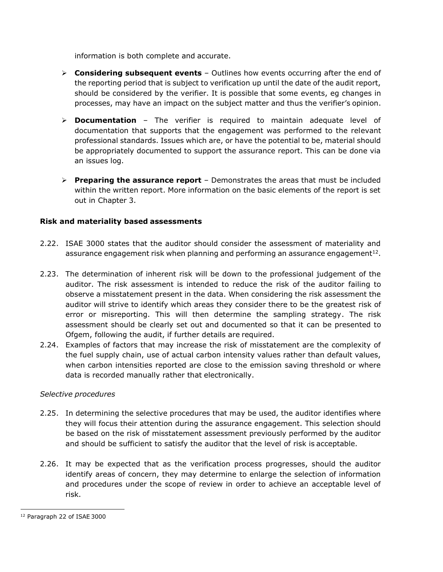information is both complete and accurate.

- ➢ **Considering subsequent events**  Outlines how events occurring after the end of the reporting period that is subject to verification up until the date of the audit report, should be considered by the verifier. It is possible that some events, eg changes in processes, may have an impact on the subject matter and thus the verifier's opinion.
- ➢ **Documentation**  The verifier is required to maintain adequate level of documentation that supports that the engagement was performed to the relevant professional standards. Issues which are, or have the potential to be, material should be appropriately documented to support the assurance report. This can be done via an issues log.
- ➢ **Preparing the assurance report**  Demonstrates the areas that must be included within the written report. More information on the basic elements of the report is set out in Chapter 3.

### <span id="page-12-0"></span>**Risk and materiality based assessments**

- 2.22. ISAE 3000 states that the auditor should consider the assessment of materiality and assurance engagement risk when planning and performing an assurance engagement<sup>12</sup>.
- 2.23. The determination of inherent risk will be down to the professional judgement of the auditor. The risk assessment is intended to reduce the risk of the auditor failing to observe a misstatement present in the data. When considering the risk assessment the auditor will strive to identify which areas they consider there to be the greatest risk of error or misreporting. This will then determine the sampling strategy. The risk assessment should be clearly set out and documented so that it can be presented to Ofgem, following the audit, if further details are required.
- 2.24. Examples of factors that may increase the risk of misstatement are the complexity of the fuel supply chain, use of actual carbon intensity values rather than default values, when carbon intensities reported are close to the emission saving threshold or where data is recorded manually rather that electronically.

### *Selective procedures*

- 2.25. In determining the selective procedures that may be used, the auditor identifies where they will focus their attention during the assurance engagement. This selection should be based on the risk of misstatement assessment previously performed by the auditor and should be sufficient to satisfy the auditor that the level of risk is acceptable.
- 2.26. It may be expected that as the verification process progresses, should the auditor identify areas of concern, they may determine to enlarge the selection of information and procedures under the scope of review in order to achieve an acceptable level of risk.

<sup>12</sup> Paragraph 22 of ISAE 3000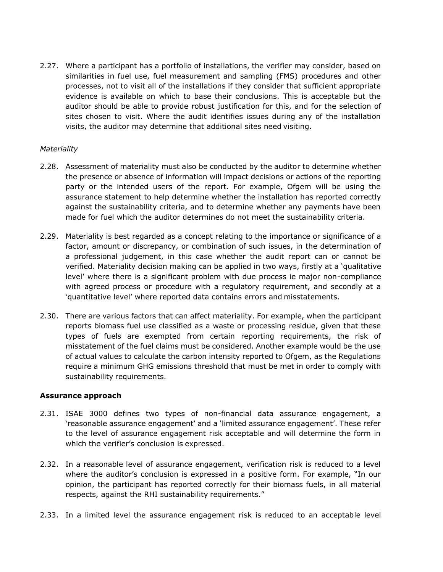2.27. Where a participant has a portfolio of installations, the verifier may consider, based on similarities in fuel use, fuel measurement and sampling (FMS) procedures and other processes, not to visit all of the installations if they consider that sufficient appropriate evidence is available on which to base their conclusions. This is acceptable but the auditor should be able to provide robust justification for this, and for the selection of sites chosen to visit. Where the audit identifies issues during any of the installation visits, the auditor may determine that additional sites need visiting.

### *Materiality*

- 2.28. Assessment of materiality must also be conducted by the auditor to determine whether the presence or absence of information will impact decisions or actions of the reporting party or the intended users of the report. For example, Ofgem will be using the assurance statement to help determine whether the installation has reported correctly against the sustainability criteria, and to determine whether any payments have been made for fuel which the auditor determines do not meet the sustainability criteria.
- 2.29. Materiality is best regarded as a concept relating to the importance or significance of a factor, amount or discrepancy, or combination of such issues, in the determination of a professional judgement, in this case whether the audit report can or cannot be verified. Materiality decision making can be applied in two ways, firstly at a 'qualitative level' where there is a significant problem with due process ie major non-compliance with agreed process or procedure with a regulatory requirement, and secondly at a 'quantitative level' where reported data contains errors and misstatements.
- 2.30. There are various factors that can affect materiality. For example, when the participant reports biomass fuel use classified as a waste or processing residue, given that these types of fuels are exempted from certain reporting requirements, the risk of misstatement of the fuel claims must be considered. Another example would be the use of actual values to calculate the carbon intensity reported to Ofgem, as the Regulations require a minimum GHG emissions threshold that must be met in order to comply with sustainability requirements.

### <span id="page-13-0"></span>**Assurance approach**

- 2.31. ISAE 3000 defines two types of non-financial data assurance engagement, a 'reasonable assurance engagement' and a 'limited assurance engagement'. These refer to the level of assurance engagement risk acceptable and will determine the form in which the verifier's conclusion is expressed.
- 2.32. In a reasonable level of assurance engagement, verification risk is reduced to a level where the auditor's conclusion is expressed in a positive form. For example, "In our opinion, the participant has reported correctly for their biomass fuels, in all material respects, against the RHI sustainability requirements."
- 2.33. In a limited level the assurance engagement risk is reduced to an acceptable level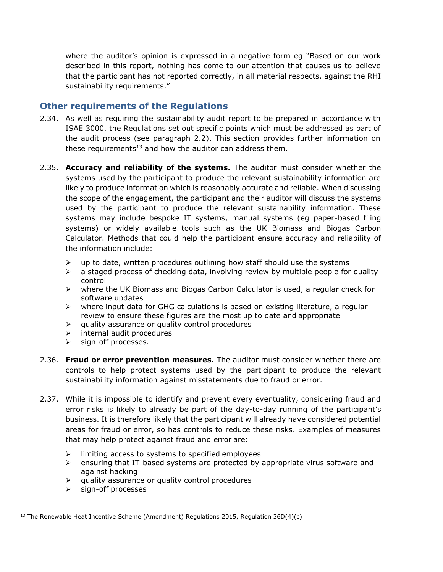where the auditor's opinion is expressed in a negative form eg "Based on our work described in this report, nothing has come to our attention that causes us to believe that the participant has not reported correctly, in all material respects, against the RHI sustainability requirements."

### <span id="page-14-0"></span>**Other requirements of the Regulations**

- 2.34. As well as requiring the sustainability audit report to be prepared in accordance with ISAE 3000, the Regulations set out specific points which must be addressed as part of the audit process (see paragraph 2.2). This section provides further information on these requirements<sup>13</sup> and how the auditor can address them.
- 2.35. **Accuracy and reliability of the systems.** The auditor must consider whether the systems used by the participant to produce the relevant sustainability information are likely to produce information which is reasonably accurate and reliable. When discussing the scope of the engagement, the participant and their auditor will discuss the systems used by the participant to produce the relevant sustainability information. These systems may include bespoke IT systems, manual systems (eg paper-based filing systems) or widely available tools such as the UK Biomass and Biogas Carbon Calculator. Methods that could help the participant ensure accuracy and reliability of the information include:
	- $\triangleright$  up to date, written procedures outlining how staff should use the systems
	- $\geq$  a staged process of checking data, involving review by multiple people for quality control
	- ➢ where the UK Biomass and Biogas Carbon Calculator is used, a regular check for software updates
	- $\triangleright$  where input data for GHG calculations is based on existing literature, a regular review to ensure these figures are the most up to date and appropriate
	- $\triangleright$  quality assurance or quality control procedures
	- ➢ internal audit procedures
	- ➢ sign-off processes.
- 2.36. **Fraud or error prevention measures.** The auditor must consider whether there are controls to help protect systems used by the participant to produce the relevant sustainability information against misstatements due to fraud or error.
- 2.37. While it is impossible to identify and prevent every eventuality, considering fraud and error risks is likely to already be part of the day-to-day running of the participant's business. It is therefore likely that the participant will already have considered potential areas for fraud or error, so has controls to reduce these risks. Examples of measures that may help protect against fraud and error are:
	- ➢ limiting access to systems to specified employees
	- $\triangleright$  ensuring that IT-based systems are protected by appropriate virus software and against hacking
	- ➢ quality assurance or quality control procedures
	- ➢ sign-off processes

<sup>&</sup>lt;sup>13</sup> The Renewable Heat Incentive Scheme (Amendment) Regulations 2015, Regulation 36D(4)(c)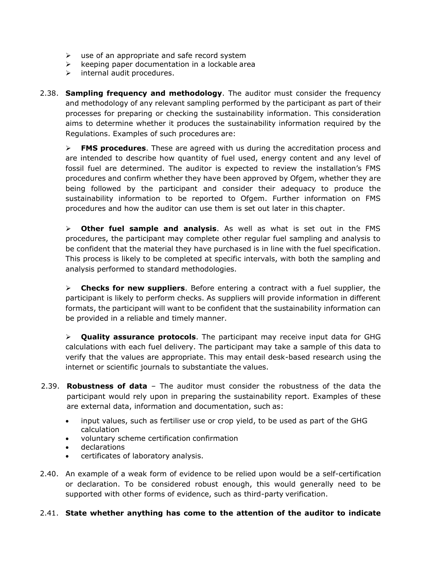- $\triangleright$  use of an appropriate and safe record system
- ➢ keeping paper documentation in a lockable area
- ➢ internal audit procedures.
- 2.38. **Sampling frequency and methodology**. The auditor must consider the frequency and methodology of any relevant sampling performed by the participant as part of their processes for preparing or checking the sustainability information. This consideration aims to determine whether it produces the sustainability information required by the Regulations. Examples of such procedures are:

➢ **FMS procedures**. These are agreed with us during the accreditation process and are intended to describe how quantity of fuel used, energy content and any level of fossil fuel are determined. The auditor is expected to review the installation's FMS procedures and confirm whether they have been approved by Ofgem, whether they are being followed by the participant and consider their adequacy to produce the sustainability information to be reported to Ofgem. Further information on FMS procedures and how the auditor can use them is set out later in this chapter.

➢ **Other fuel sample and analysis**. As well as what is set out in the FMS procedures, the participant may complete other regular fuel sampling and analysis to be confident that the material they have purchased is in line with the fuel specification. This process is likely to be completed at specific intervals, with both the sampling and analysis performed to standard methodologies.

➢ **Checks for new suppliers**. Before entering a contract with a fuel supplier, the participant is likely to perform checks. As suppliers will provide information in different formats, the participant will want to be confident that the sustainability information can be provided in a reliable and timely manner.

➢ **Quality assurance protocols**. The participant may receive input data for GHG calculations with each fuel delivery. The participant may take a sample of this data to verify that the values are appropriate. This may entail desk-based research using the internet or scientific journals to substantiate the values.

- 2.39. **Robustness of data**  The auditor must consider the robustness of the data the participant would rely upon in preparing the sustainability report. Examples of these are external data, information and documentation, such as:
	- input values, such as fertiliser use or crop yield, to be used as part of the GHG calculation
	- voluntary scheme certification confirmation
	- declarations
	- certificates of laboratory analysis.
- 2.40. An example of a weak form of evidence to be relied upon would be a self-certification or declaration. To be considered robust enough, this would generally need to be supported with other forms of evidence, such as third-party verification.

### 2.41. **State whether anything has come to the attention of the auditor to indicate**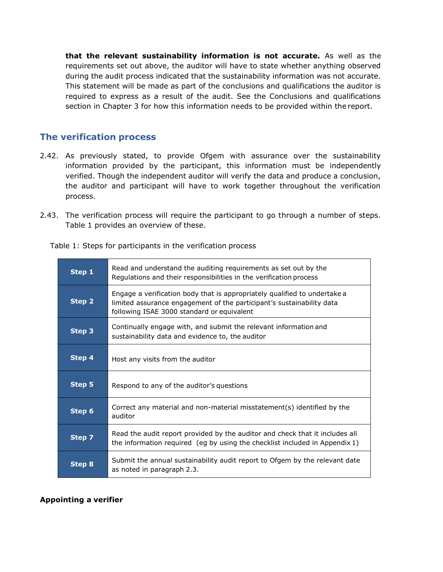**that the relevant sustainability information is not accurate.** As well as the requirements set out above, the auditor will have to state whether anything observed during the audit process indicated that the sustainability information was not accurate. This statement will be made as part of the conclusions and qualifications the auditor is required to express as a result of the audit. See the Conclusions and qualifications section in Chapter 3 for how this information needs to be provided within the report.

### <span id="page-16-0"></span>**The verification process**

- 2.42. As previously stated, to provide Ofgem with assurance over the sustainability information provided by the participant, this information must be independently verified. Though the independent auditor will verify the data and produce a conclusion, the auditor and participant will have to work together throughout the verification process.
- 2.43. The verification process will require the participant to go through a number of steps. Table 1 provides an overview of these.

Table 1: Steps for participants in the verification process

| Step 1 | Read and understand the auditing requirements as set out by the<br>Regulations and their responsibilities in the verification process                                                            |
|--------|--------------------------------------------------------------------------------------------------------------------------------------------------------------------------------------------------|
| Step 2 | Engage a verification body that is appropriately qualified to undertake a<br>limited assurance engagement of the participant's sustainability data<br>following ISAE 3000 standard or equivalent |
| Step 3 | Continually engage with, and submit the relevant information and<br>sustainability data and evidence to, the auditor                                                                             |
| Step 4 | Host any visits from the auditor                                                                                                                                                                 |
| Step 5 | Respond to any of the auditor's questions                                                                                                                                                        |
| Step 6 | Correct any material and non-material misstatement(s) identified by the<br>auditor                                                                                                               |
| Step 7 | Read the audit report provided by the auditor and check that it includes all<br>the information required (eg by using the checklist included in Appendix $1$ )                                   |
| Step 8 | Submit the annual sustainability audit report to Ofgem by the relevant date<br>as noted in paragraph 2.3.                                                                                        |

### <span id="page-16-1"></span>**Appointing a verifier**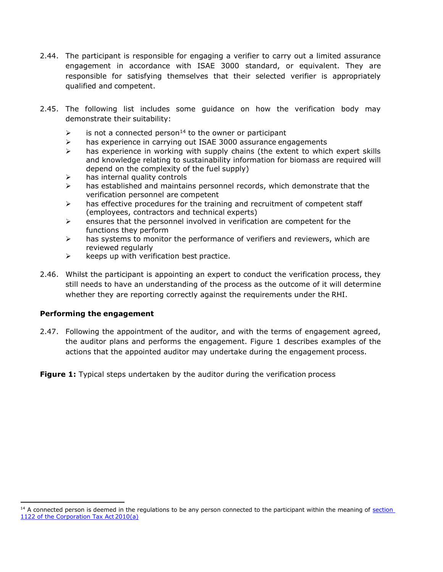- 2.44. The participant is responsible for engaging a verifier to carry out a limited assurance engagement in accordance with ISAE 3000 standard, or equivalent. They are responsible for satisfying themselves that their selected verifier is appropriately qualified and competent.
- 2.45. The following list includes some guidance on how the verification body may demonstrate their suitability:
	- $\triangleright$  is not a connected person<sup>14</sup> to the owner or participant
	- ➢ has experience in carrying out ISAE 3000 assurance engagements
	- $\triangleright$  has experience in working with supply chains (the extent to which expert skills and knowledge relating to sustainability information for biomass are required will depend on the complexity of the fuel supply)
	- $\triangleright$  has internal quality controls
	- $\triangleright$  has established and maintains personnel records, which demonstrate that the verification personnel are competent
	- $\triangleright$  has effective procedures for the training and recruitment of competent staff (employees, contractors and technical experts)
	- $\triangleright$  ensures that the personnel involved in verification are competent for the functions they perform
	- $\triangleright$  has systems to monitor the performance of verifiers and reviewers, which are reviewed regularly
	- $\triangleright$  keeps up with verification best practice.
- 2.46. Whilst the participant is appointing an expert to conduct the verification process, they still needs to have an understanding of the process as the outcome of it will determine whether they are reporting correctly against the requirements under the RHI.

### <span id="page-17-0"></span>**Performing the engagement**

2.47. Following the appointment of the auditor, and with the terms of engagement agreed, the auditor plans and performs the engagement. Figure 1 describes examples of the actions that the appointed auditor may undertake during the engagement process.

**Figure 1:** Typical steps undertaken by the auditor during the verification process

<sup>&</sup>lt;sup>14</sup> A connected person is deemed in the regulations to be any person connected to the participant within the meaning of section [1122 of the Corporation Tax Act](http://www.legislation.gov.uk/ukpga/2010/4/section/1122) 2010(a)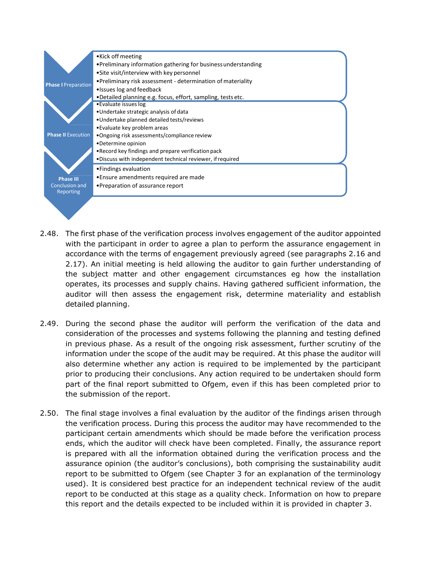

- 2.48. The first phase of the verification process involves engagement of the auditor appointed with the participant in order to agree a plan to perform the assurance engagement in accordance with the terms of engagement previously agreed (see paragraphs 2.16 and 2.17). An initial meeting is held allowing the auditor to gain further understanding of the subject matter and other engagement circumstances eg how the installation operates, its processes and supply chains. Having gathered sufficient information, the auditor will then assess the engagement risk, determine materiality and establish detailed planning.
- 2.49. During the second phase the auditor will perform the verification of the data and consideration of the processes and systems following the planning and testing defined in previous phase. As a result of the ongoing risk assessment, further scrutiny of the information under the scope of the audit may be required. At this phase the auditor will also determine whether any action is required to be implemented by the participant prior to producing their conclusions. Any action required to be undertaken should form part of the final report submitted to Ofgem, even if this has been completed prior to the submission of the report.
- 2.50. The final stage involves a final evaluation by the auditor of the findings arisen through the verification process. During this process the auditor may have recommended to the participant certain amendments which should be made before the verification process ends, which the auditor will check have been completed. Finally, the assurance report is prepared with all the information obtained during the verification process and the assurance opinion (the auditor's conclusions), both comprising the sustainability audit report to be submitted to Ofgem (see Chapter 3 for an explanation of the terminology used). It is considered best practice for an independent technical review of the audit report to be conducted at this stage as a quality check. Information on how to prepare this report and the details expected to be included within it is provided in chapter 3.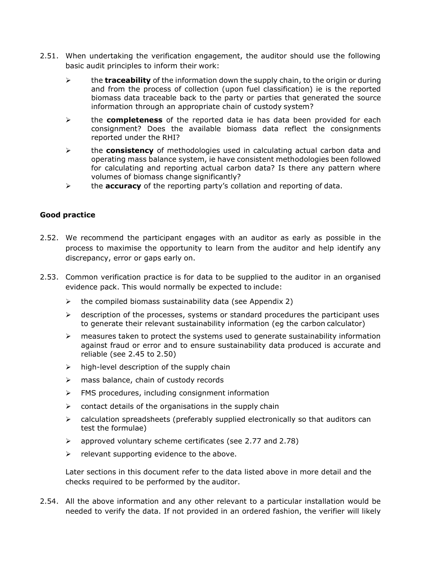- 2.51. When undertaking the verification engagement, the auditor should use the following basic audit principles to inform their work:
	- ➢ the **traceability** of the information down the supply chain, to the origin or during and from the process of collection (upon fuel classification) ie is the reported biomass data traceable back to the party or parties that generated the source information through an appropriate chain of custody system?
	- ➢ the **completeness** of the reported data ie has data been provided for each consignment? Does the available biomass data reflect the consignments reported under the RHI?
	- ➢ the **consistency** of methodologies used in calculating actual carbon data and operating mass balance system, ie have consistent methodologies been followed for calculating and reporting actual carbon data? Is there any pattern where volumes of biomass change significantly?
	- ➢ the **accuracy** of the reporting party's collation and reporting of data.

### **Good practice**

- 2.52. We recommend the participant engages with an auditor as early as possible in the process to maximise the opportunity to learn from the auditor and help identify any discrepancy, error or gaps early on.
- 2.53. Common verification practice is for data to be supplied to the auditor in an organised evidence pack. This would normally be expected to include:
	- $\triangleright$  the compiled biomass sustainability data (see Appendix 2)
	- ➢ description of the processes, systems or standard procedures the participant uses to generate their relevant sustainability information (eg the carbon calculator)
	- $\triangleright$  measures taken to protect the systems used to generate sustainability information against fraud or error and to ensure sustainability data produced is accurate and reliable (see 2.45 to 2.50)
	- $\triangleright$  high-level description of the supply chain
	- $\triangleright$  mass balance, chain of custody records
	- ➢ FMS procedures, including consignment information
	- $\triangleright$  contact details of the organisations in the supply chain
	- $\triangleright$  calculation spreadsheets (preferably supplied electronically so that auditors can test the formulae)
	- ➢ approved voluntary scheme certificates (see 2.77 and 2.78)
	- $\triangleright$  relevant supporting evidence to the above.

Later sections in this document refer to the data listed above in more detail and the checks required to be performed by the auditor.

2.54. All the above information and any other relevant to a particular installation would be needed to verify the data. If not provided in an ordered fashion, the verifier will likely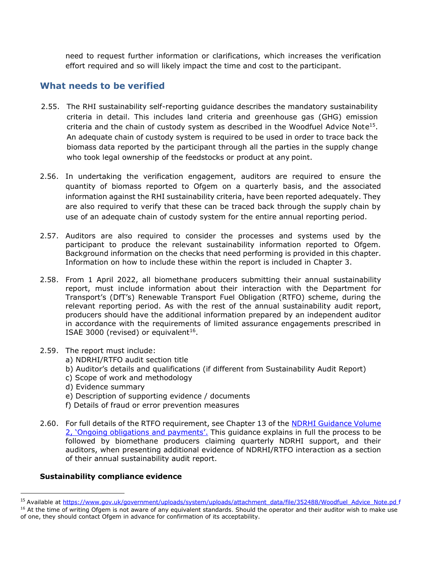need to request further information or clarifications, which increases the verification effort required and so will likely impact the time and cost to the participant.

## <span id="page-20-0"></span>**What needs to be verified**

- 2.55. The RHI sustainability self-reporting guidance describes the mandatory sustainability criteria in detail. This includes land criteria and greenhouse gas (GHG) emission criteria and the chain of custody system as described in the Woodfuel Advice Note<sup>15</sup>. An adequate chain of custody system is required to be used in order to trace back the biomass data reported by the participant through all the parties in the supply change who took legal ownership of the feedstocks or product at any point.
- 2.56. In undertaking the verification engagement, auditors are required to ensure the quantity of biomass reported to Ofgem on a quarterly basis, and the associated information against the RHI sustainability criteria, have been reported adequately. They are also required to verify that these can be traced back through the supply chain by use of an adequate chain of custody system for the entire annual reporting period.
- 2.57. Auditors are also required to consider the processes and systems used by the participant to produce the relevant sustainability information reported to Ofgem. Background information on the checks that need performing is provided in this chapter. Information on how to include these within the report is included in Chapter 3.
- 2.58. From 1 April 2022, all biomethane producers submitting their annual sustainability report, must include information about their interaction with the Department for Transport's (DfT's) Renewable Transport Fuel Obligation (RTFO) scheme, during the relevant reporting period. As with the rest of the annual sustainability audit report, producers should have the additional information prepared by an independent auditor in accordance with the requirements of limited assurance engagements prescribed in ISAE 3000 (revised) or equivalent<sup>16</sup>.
- 2.59. The report must include:
	- a) NDRHI/RTFO audit section title
	- b) Auditor's details and qualifications (if different from Sustainability Audit Report)
	- c) Scope of work and methodology
	- d) Evidence summary
	- e) Description of supporting evidence / documents
	- f) Details of fraud or error prevention measures
- 2.60. For full details of the RTFO requirement, see Chapter 13 of the NDRHI Guidance Volume [2, 'Ongoing obligations and payments'](https://www.ofgem.gov.uk/sites/default/files/docs/2021/04/ndrhi_guidance_vol2._final_2021_0.pdf). This guidance explains in full the process to be followed by biomethane producers claiming quarterly NDRHI support, and their auditors, when presenting additional evidence of NDRHI/RTFO interaction as a section of their annual sustainability audit report.

### <span id="page-20-1"></span>**Sustainability compliance evidence**

<sup>&</sup>lt;sup>15</sup> Available at [https://www.gov.uk/government/uploads/system/uploads/attachment\\_data/file/352488/Woodfuel\\_Advice\\_Note.pd](https://www.gov.uk/government/uploads/system/uploads/attachment_data/file/352488/Woodfuel_Advice_Note.pdf) [f](https://www.gov.uk/government/uploads/system/uploads/attachment_data/file/352488/Woodfuel_Advice_Note.pdf)

<sup>&</sup>lt;sup>16</sup> At the time of writing Ofgem is not aware of any equivalent standards. Should the operator and their auditor wish to make use of one, they should contact Ofgem in advance for confirmation of its acceptability.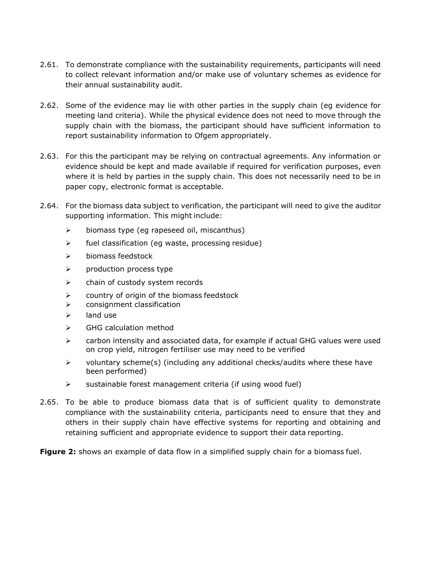- 2.61. To demonstrate compliance with the sustainability requirements, participants will need to collect relevant information and/or make use of voluntary schemes as evidence for their annual sustainability audit.
- 2.62. Some of the evidence may lie with other parties in the supply chain (eg evidence for meeting land criteria). While the physical evidence does not need to move through the supply chain with the biomass, the participant should have sufficient information to report sustainability information to Ofgem appropriately.
- 2.63. For this the participant may be relying on contractual agreements. Any information or evidence should be kept and made available if required for verification purposes, even where it is held by parties in the supply chain. This does not necessarily need to be in paper copy, electronic format is acceptable.
- 2.64. For the biomass data subject to verification, the participant will need to give the auditor supporting information. This might include:
	- ➢ biomass type (eg rapeseed oil, miscanthus)
	- ➢ fuel classification (eg waste, processing residue)
	- ➢ biomass feedstock
	- ➢ production process type
	- ➢ chain of custody system records
	- ➢ country of origin of the biomass feedstock
	- ➢ consignment classification
	- ➢ land use
	- ➢ GHG calculation method
	- $\triangleright$  carbon intensity and associated data, for example if actual GHG values were used on crop yield, nitrogen fertiliser use may need to be verified
	- $\triangleright$  voluntary scheme(s) (including any additional checks/audits where these have been performed)
	- $\triangleright$  sustainable forest management criteria (if using wood fuel)
- 2.65. To be able to produce biomass data that is of sufficient quality to demonstrate compliance with the sustainability criteria, participants need to ensure that they and others in their supply chain have effective systems for reporting and obtaining and retaining sufficient and appropriate evidence to support their data reporting.

**Figure 2:** shows an example of data flow in a simplified supply chain for a biomass fuel.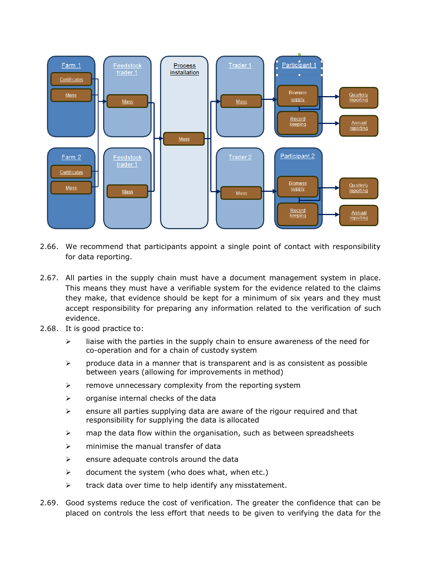

- 2.66. We recommend that participants appoint a single point of contact with responsibility for data reporting.
- 2.67. All parties in the supply chain must have a document management system in place. This means they must have a verifiable system for the evidence related to the claims they make, that evidence should be kept for a minimum of six years and they must accept responsibility for preparing any information related to the verification of such evidence.
- 2.68. It is good practice to:
	- $\triangleright$  liaise with the parties in the supply chain to ensure awareness of the need for co-operation and for a chain of custody system
	- $\triangleright$  produce data in a manner that is transparent and is as consistent as possible between years (allowing for improvements in method)
	- $\triangleright$  remove unnecessary complexity from the reporting system
	- $\triangleright$  organise internal checks of the data
	- $\triangleright$  ensure all parties supplying data are aware of the rigour required and that responsibility for supplying the data is allocated
	- $\triangleright$  map the data flow within the organisation, such as between spreadsheets
	- ➢ minimise the manual transfer of data
	- $\triangleright$  ensure adequate controls around the data
	- $\triangleright$  document the system (who does what, when etc.)
	- $\triangleright$  track data over time to help identify any misstatement.
- 2.69. Good systems reduce the cost of verification. The greater the confidence that can be placed on controls the less effort that needs to be given to verifying the data for the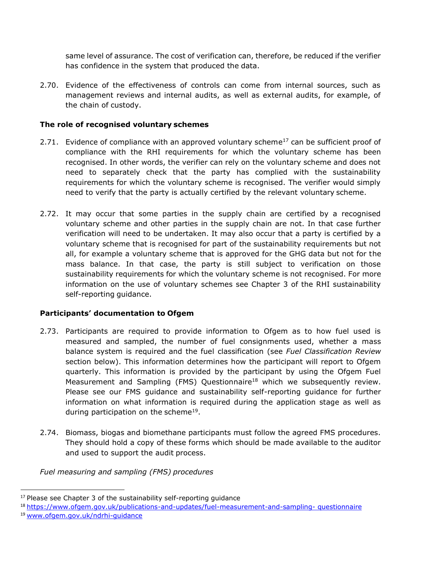same level of assurance. The cost of verification can, therefore, be reduced if the verifier has confidence in the system that produced the data.

2.70. Evidence of the effectiveness of controls can come from internal sources, such as management reviews and internal audits, as well as external audits, for example, of the chain of custody.

### <span id="page-23-0"></span>**The role of recognised voluntary schemes**

- 2.71. Evidence of compliance with an approved voluntary scheme<sup>17</sup> can be sufficient proof of compliance with the RHI requirements for which the voluntary scheme has been recognised. In other words, the verifier can rely on the voluntary scheme and does not need to separately check that the party has complied with the sustainability requirements for which the voluntary scheme is recognised. The verifier would simply need to verify that the party is actually certified by the relevant voluntary scheme.
- 2.72. It may occur that some parties in the supply chain are certified by a recognised voluntary scheme and other parties in the supply chain are not. In that case further verification will need to be undertaken. It may also occur that a party is certified by a voluntary scheme that is recognised for part of the sustainability requirements but not all, for example a voluntary scheme that is approved for the GHG data but not for the mass balance. In that case, the party is still subject to verification on those sustainability requirements for which the voluntary scheme is not recognised. For more information on the use of voluntary schemes see Chapter 3 of the RHI sustainability self-reporting guidance.

### <span id="page-23-1"></span>**Participants' documentation to Ofgem**

- 2.73. Participants are required to provide information to Ofgem as to how fuel used is measured and sampled, the number of fuel consignments used, whether a mass balance system is required and the fuel classification (see *Fuel Classification Review*  section below). This information determines how the participant will report to Ofgem quarterly. This information is provided by the participant by using the Ofgem Fuel Measurement and Sampling (FMS) Questionnaire<sup>18</sup> which we subsequently review. Please see our FMS guidance and sustainability self-reporting guidance for further information on what information is required during the application stage as well as during participation on the scheme<sup>19</sup>.
- 2.74. Biomass, biogas and biomethane participants must follow the agreed FMS procedures. They should hold a copy of these forms which should be made available to the auditor and used to support the audit process.

*Fuel measuring and sampling (FMS) procedures*

 $17$  Please see Chapter 3 of the sustainability self-reporting guidance

<sup>&</sup>lt;sup>18</sup> [https://www.ofgem.gov.uk/publications-and-updates/fuel-measurement-and-sampling-](https://www.ofgem.gov.uk/publications-and-updates/fuel-measurement-and-sampling-questionnaire) [questionnaire](https://www.ofgem.gov.uk/publications-and-updates/fuel-measurement-and-sampling-questionnaire)

<sup>19</sup> [www.ofgem.gov.uk/ndrhi-guidance](http://www.ofgem.gov.uk/ndrhi-guidance)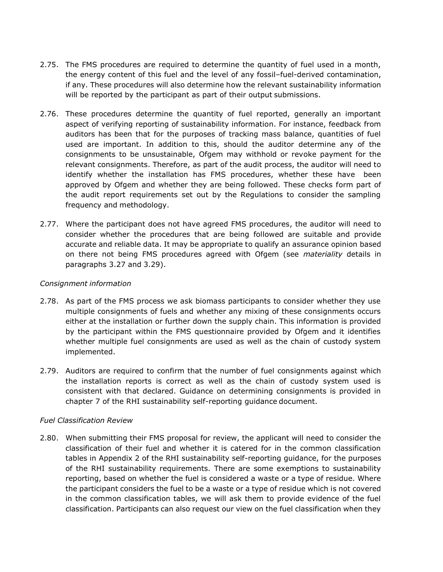- 2.75. The FMS procedures are required to determine the quantity of fuel used in a month, the energy content of this fuel and the level of any fossil–fuel-derived contamination, if any. These procedures will also determine how the relevant sustainability information will be reported by the participant as part of their output submissions.
- 2.76. These procedures determine the quantity of fuel reported, generally an important aspect of verifying reporting of sustainability information. For instance, feedback from auditors has been that for the purposes of tracking mass balance, quantities of fuel used are important. In addition to this, should the auditor determine any of the consignments to be unsustainable, Ofgem may withhold or revoke payment for the relevant consignments. Therefore, as part of the audit process, the auditor will need to identify whether the installation has FMS procedures, whether these have been approved by Ofgem and whether they are being followed. These checks form part of the audit report requirements set out by the Regulations to consider the sampling frequency and methodology.
- 2.77. Where the participant does not have agreed FMS procedures, the auditor will need to consider whether the procedures that are being followed are suitable and provide accurate and reliable data. It may be appropriate to qualify an assurance opinion based on there not being FMS procedures agreed with Ofgem (see *materiality* details in paragraphs 3.27 and 3.29).

### *Consignment information*

- 2.78. As part of the FMS process we ask biomass participants to consider whether they use multiple consignments of fuels and whether any mixing of these consignments occurs either at the installation or further down the supply chain. This information is provided by the participant within the FMS questionnaire provided by Ofgem and it identifies whether multiple fuel consignments are used as well as the chain of custody system implemented.
- 2.79. Auditors are required to confirm that the number of fuel consignments against which the installation reports is correct as well as the chain of custody system used is consistent with that declared. Guidance on determining consignments is provided in chapter 7 of the RHI sustainability self-reporting guidance document.

### *Fuel Classification Review*

2.80. When submitting their FMS proposal for review, the applicant will need to consider the classification of their fuel and whether it is catered for in the common classification tables in Appendix 2 of the RHI sustainability self-reporting guidance, for the purposes of the RHI sustainability requirements. There are some exemptions to sustainability reporting, based on whether the fuel is considered a waste or a type of residue. Where the participant considers the fuel to be a waste or a type of residue which is not covered in the common classification tables, we will ask them to provide evidence of the fuel classification. Participants can also request our view on the fuel classification when they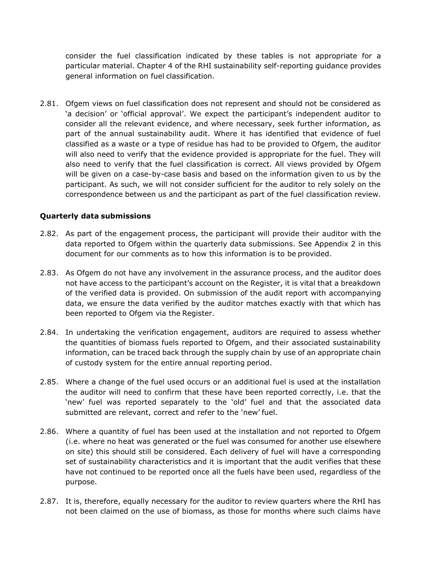consider the fuel classification indicated by these tables is not appropriate for a particular material. Chapter 4 of the RHI sustainability self-reporting guidance provides general information on fuel classification.

2.81. Ofgem views on fuel classification does not represent and should not be considered as 'a decision' or 'official approval'. We expect the participant's independent auditor to consider all the relevant evidence, and where necessary, seek further information, as part of the annual sustainability audit. Where it has identified that evidence of fuel classified as a waste or a type of residue has had to be provided to Ofgem, the auditor will also need to verify that the evidence provided is appropriate for the fuel. They will also need to verify that the fuel classification is correct. All views provided by Ofgem will be given on a case-by-case basis and based on the information given to us by the participant. As such, we will not consider sufficient for the auditor to rely solely on the correspondence between us and the participant as part of the fuel classification review.

### <span id="page-25-0"></span>**Quarterly data submissions**

- 2.82. As part of the engagement process, the participant will provide their auditor with the data reported to Ofgem within the quarterly data submissions. See Appendix 2 in this document for our comments as to how this information is to be provided.
- 2.83. As Ofgem do not have any involvement in the assurance process, and the auditor does not have access to the participant's account on the Register, it is vital that a breakdown of the verified data is provided. On submission of the audit report with accompanying data, we ensure the data verified by the auditor matches exactly with that which has been reported to Ofgem via the Register.
- 2.84. In undertaking the verification engagement, auditors are required to assess whether the quantities of biomass fuels reported to Ofgem, and their associated sustainability information, can be traced back through the supply chain by use of an appropriate chain of custody system for the entire annual reporting period.
- 2.85. Where a change of the fuel used occurs or an additional fuel is used at the installation the auditor will need to confirm that these have been reported correctly, i.e. that the 'new' fuel was reported separately to the 'old' fuel and that the associated data submitted are relevant, correct and refer to the 'new' fuel.
- 2.86. Where a quantity of fuel has been used at the installation and not reported to Ofgem (i.e. where no heat was generated or the fuel was consumed for another use elsewhere on site) this should still be considered. Each delivery of fuel will have a corresponding set of sustainability characteristics and it is important that the audit verifies that these have not continued to be reported once all the fuels have been used, regardless of the purpose.
- 2.87. It is, therefore, equally necessary for the auditor to review quarters where the RHI has not been claimed on the use of biomass, as those for months where such claims have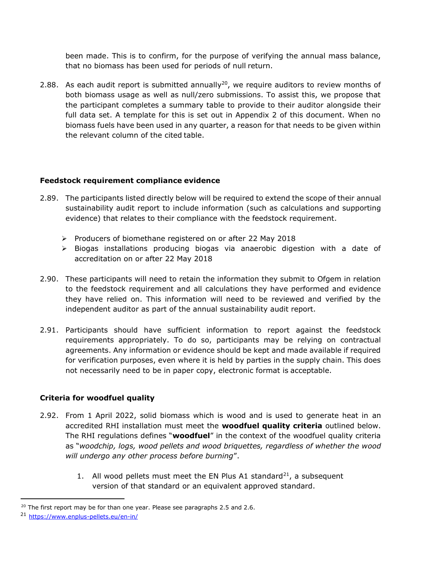been made. This is to confirm, for the purpose of verifying the annual mass balance, that no biomass has been used for periods of null return.

2.88. As each audit report is submitted annually<sup>20</sup>, we require auditors to review months of both biomass usage as well as null/zero submissions. To assist this, we propose that the participant completes a summary table to provide to their auditor alongside their full data set. A template for this is set out in Appendix 2 of this document. When no biomass fuels have been used in any quarter, a reason for that needs to be given within the relevant column of the cited table.

### <span id="page-26-0"></span>**Feedstock requirement compliance evidence**

- 2.89. The participants listed directly below will be required to extend the scope of their annual sustainability audit report to include information (such as calculations and supporting evidence) that relates to their compliance with the feedstock requirement.
	- ➢ Producers of biomethane registered on or after 22 May 2018
	- ➢ Biogas installations producing biogas via anaerobic digestion with a date of accreditation on or after 22 May 2018
- 2.90. These participants will need to retain the information they submit to Ofgem in relation to the feedstock requirement and all calculations they have performed and evidence they have relied on. This information will need to be reviewed and verified by the independent auditor as part of the annual sustainability audit report.
- 2.91. Participants should have sufficient information to report against the feedstock requirements appropriately. To do so, participants may be relying on contractual agreements. Any information or evidence should be kept and made available if required for verification purposes, even where it is held by parties in the supply chain. This does not necessarily need to be in paper copy, electronic format is acceptable.

### <span id="page-26-1"></span>**Criteria for woodfuel quality**

- 2.92. From 1 April 2022, solid biomass which is wood and is used to generate heat in an accredited RHI installation must meet the **woodfuel quality criteria** outlined below. The RHI regulations defines "**woodfuel**" in the context of the woodfuel quality criteria as "*woodchip, logs, wood pellets and wood briquettes, regardless of whether the wood will undergo any other process before burning*".
	- 1. All wood pellets must meet the EN Plus A1 standard<sup>21</sup>, a subsequent version of that standard or an equivalent approved standard.

 $20$  The first report may be for than one year. Please see paragraphs 2.5 and 2.6.

<sup>21</sup> <https://www.enplus-pellets.eu/en-in/>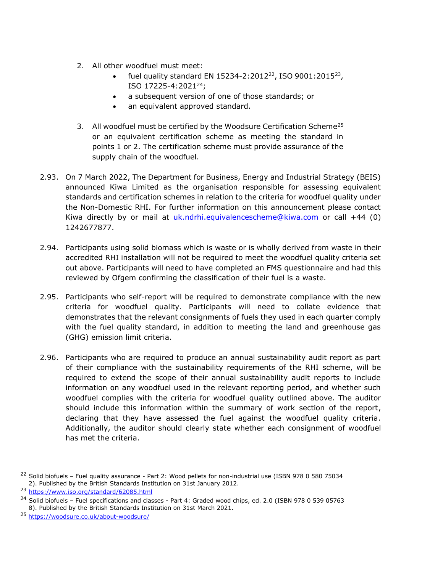- 2. All other woodfuel must meet:
	- fuel quality standard EN 15234-2:2012<sup>22</sup>, ISO 9001:2015<sup>23</sup>, ISO 17225-4:2021<sup>24</sup>;
	- a subsequent version of one of those standards; or
	- an equivalent approved standard.
- 3. All woodfuel must be certified by the Woodsure Certification Scheme<sup>25</sup> or an equivalent certification scheme as meeting the standard in points 1 or 2. The certification scheme must provide assurance of the supply chain of the woodfuel.
- 2.93. On 7 March 2022, The Department for Business, Energy and Industrial Strategy (BEIS) announced Kiwa Limited as the organisation responsible for assessing equivalent standards and certification schemes in relation to the criteria for woodfuel quality under the Non-Domestic RHI. For further information on this announcement please contact Kiwa directly by or mail at [uk.ndrhi.equivalencescheme@kiwa.com](mailto:uk.ndrhi.equivalencescheme@kiwa.com) or call  $+44$  (0) 1242677877.
- 2.94. Participants using solid biomass which is waste or is wholly derived from waste in their accredited RHI installation will not be required to meet the woodfuel quality criteria set out above. Participants will need to have completed an FMS questionnaire and had this reviewed by Ofgem confirming the classification of their fuel is a waste.
- 2.95. Participants who self-report will be required to demonstrate compliance with the new criteria for woodfuel quality. Participants will need to collate evidence that demonstrates that the relevant consignments of fuels they used in each quarter comply with the fuel quality standard, in addition to meeting the land and greenhouse gas (GHG) emission limit criteria.
- 2.96. Participants who are required to produce an annual sustainability audit report as part of their compliance with the sustainability requirements of the RHI scheme, will be required to extend the scope of their annual sustainability audit reports to include information on any woodfuel used in the relevant reporting period, and whether such woodfuel complies with the criteria for woodfuel quality outlined above. The auditor should include this information within the summary of work section of the report, declaring that they have assessed the fuel against the woodfuel quality criteria. Additionally, the auditor should clearly state whether each consignment of woodfuel has met the criteria.

<sup>&</sup>lt;sup>22</sup> Solid biofuels - Fuel quality assurance - Part 2: Wood pellets for non-industrial use (ISBN 978 0 580 75034 2). Published by the British Standards Institution on 31st January 2012.

<sup>23</sup> <https://www.iso.org/standard/62085.html>

<sup>&</sup>lt;sup>24</sup> Solid biofuels - Fuel specifications and classes - Part 4: Graded wood chips, ed. 2.0 (ISBN 978 0 539 05763 8). Published by the British Standards Institution on 31st March 2021.

<sup>25</sup> <https://woodsure.co.uk/about-woodsure/>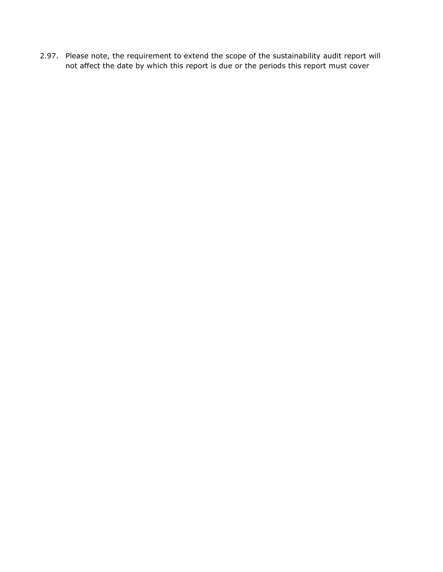2.97. Please note, the requirement to extend the scope of the sustainability audit report will not affect the date by which this report is due or the periods this report must cover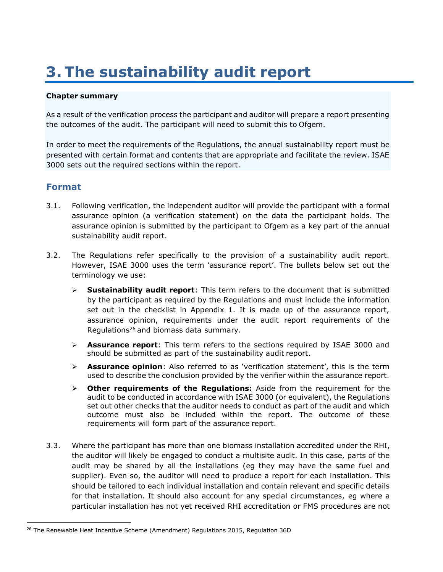# <span id="page-29-0"></span>**3. The sustainability audit report**

### **Chapter summary**

As a result of the verification process the participant and auditor will prepare a report presenting the outcomes of the audit. The participant will need to submit this to Ofgem.

In order to meet the requirements of the Regulations, the annual sustainability report must be presented with certain format and contents that are appropriate and facilitate the review. ISAE 3000 sets out the required sections within the report.

## <span id="page-29-1"></span>**Format**

- 3.1. Following verification, the independent auditor will provide the participant with a formal assurance opinion (a verification statement) on the data the participant holds. The assurance opinion is submitted by the participant to Ofgem as a key part of the annual sustainability audit report.
- 3.2. The Regulations refer specifically to the provision of a sustainability audit report. However, ISAE 3000 uses the term 'assurance report'. The bullets below set out the terminology we use:
	- ➢ **Sustainability audit report**: This term refers to the document that is submitted by the participant as required by the Regulations and must include the information set out in the checklist in Appendix 1. It is made up of the assurance report, assurance opinion, requirements under the audit report requirements of the Regulations <sup>26</sup> and biomass data summary.
	- ➢ **Assurance report**: This term refers to the sections required by ISAE 3000 and should be submitted as part of the sustainability audit report.
	- ➢ **Assurance opinion**: Also referred to as 'verification statement', this is the term used to describe the conclusion provided by the verifier within the assurance report.
	- ➢ **Other requirements of the Regulations:** Aside from the requirement for the audit to be conducted in accordance with ISAE 3000 (or equivalent), the Regulations set out other checks that the auditor needs to conduct as part of the audit and which outcome must also be included within the report. The outcome of these requirements will form part of the assurance report.
- 3.3. Where the participant has more than one biomass installation accredited under the RHI, the auditor will likely be engaged to conduct a multisite audit. In this case, parts of the audit may be shared by all the installations (eg they may have the same fuel and supplier). Even so, the auditor will need to produce a report for each installation. This should be tailored to each individual installation and contain relevant and specific details for that installation. It should also account for any special circumstances, eg where a particular installation has not yet received RHI accreditation or FMS procedures are not

 $26$  The Renewable Heat Incentive Scheme (Amendment) Regulations 2015, Regulation 36D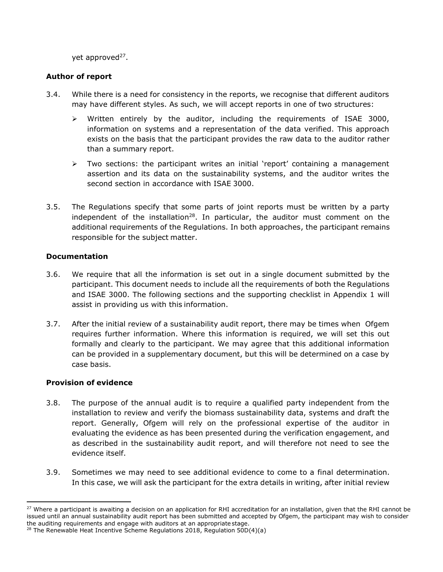yet approved<sup>27</sup>.

### <span id="page-30-0"></span>**Author of report**

- 3.4. While there is a need for consistency in the reports, we recognise that different auditors may have different styles. As such, we will accept reports in one of two structures:
	- ➢ Written entirely by the auditor, including the requirements of ISAE 3000, information on systems and a representation of the data verified. This approach exists on the basis that the participant provides the raw data to the auditor rather than a summary report.
	- $\triangleright$  Two sections: the participant writes an initial 'report' containing a management assertion and its data on the sustainability systems, and the auditor writes the second section in accordance with ISAE 3000.
- 3.5. The Regulations specify that some parts of joint reports must be written by a party independent of the installation<sup>28</sup>. In particular, the auditor must comment on the additional requirements of the Regulations. In both approaches, the participant remains responsible for the subject matter.

### <span id="page-30-1"></span>**Documentation**

- 3.6. We require that all the information is set out in a single document submitted by the participant. This document needs to include all the requirements of both the Regulations and ISAE 3000. The following sections and the supporting checklist in Appendix 1 will assist in providing us with this information.
- 3.7. After the initial review of a sustainability audit report, there may be times when Ofgem requires further information. Where this information is required, we will set this out formally and clearly to the participant. We may agree that this additional information can be provided in a supplementary document, but this will be determined on a case by case basis.

### <span id="page-30-2"></span>**Provision of evidence**

- 3.8. The purpose of the annual audit is to require a qualified party independent from the installation to review and verify the biomass sustainability data, systems and draft the report. Generally, Ofgem will rely on the professional expertise of the auditor in evaluating the evidence as has been presented during the verification engagement, and as described in the sustainability audit report, and will therefore not need to see the evidence itself.
- 3.9. Sometimes we may need to see additional evidence to come to a final determination. In this case, we will ask the participant for the extra details in writing, after initial review

<sup>&</sup>lt;sup>27</sup> Where a participant is awaiting a decision on an application for RHI accreditation for an installation, given that the RHI cannot be issued until an annual sustainability audit report has been submitted and accepted by Ofgem, the participant may wish to consider the auditing requirements and engage with auditors at an appropriate stage.

<sup>&</sup>lt;sup>28</sup> The Renewable Heat Incentive Scheme Regulations 2018, Regulation 50D(4)(a)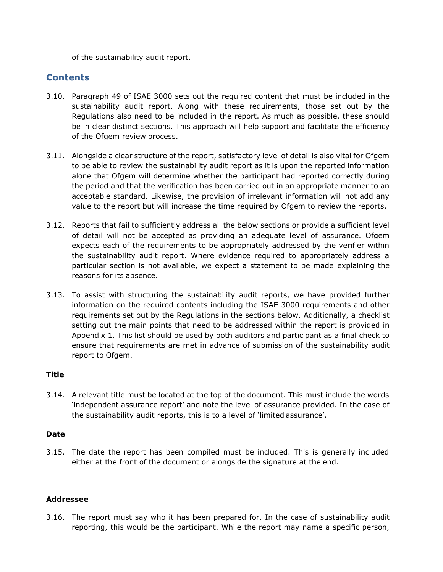of the sustainability audit report.

## <span id="page-31-0"></span>**Contents**

- 3.10. Paragraph 49 of ISAE 3000 sets out the required content that must be included in the sustainability audit report. Along with these requirements, those set out by the Regulations also need to be included in the report. As much as possible, these should be in clear distinct sections. This approach will help support and facilitate the efficiency of the Ofgem review process.
- 3.11. Alongside a clear structure of the report, satisfactory level of detail is also vital for Ofgem to be able to review the sustainability audit report as it is upon the reported information alone that Ofgem will determine whether the participant had reported correctly during the period and that the verification has been carried out in an appropriate manner to an acceptable standard. Likewise, the provision of irrelevant information will not add any value to the report but will increase the time required by Ofgem to review the reports.
- 3.12. Reports that fail to sufficiently address all the below sections or provide a sufficient level of detail will not be accepted as providing an adequate level of assurance. Ofgem expects each of the requirements to be appropriately addressed by the verifier within the sustainability audit report. Where evidence required to appropriately address a particular section is not available, we expect a statement to be made explaining the reasons for its absence.
- 3.13. To assist with structuring the sustainability audit reports, we have provided further information on the required contents including the ISAE 3000 requirements and other requirements set out by the Regulations in the sections below. Additionally, a checklist setting out the main points that need to be addressed within the report is provided in Appendix 1. This list should be used by both auditors and participant as a final check to ensure that requirements are met in advance of submission of the sustainability audit report to Ofgem.

### **Title**

3.14. A relevant title must be located at the top of the document. This must include the words 'independent assurance report' and note the level of assurance provided. In the case of the sustainability audit reports, this is to a level of 'limited assurance'.

### **Date**

3.15. The date the report has been compiled must be included. This is generally included either at the front of the document or alongside the signature at the end.

### **Addressee**

3.16. The report must say who it has been prepared for. In the case of sustainability audit reporting, this would be the participant. While the report may name a specific person,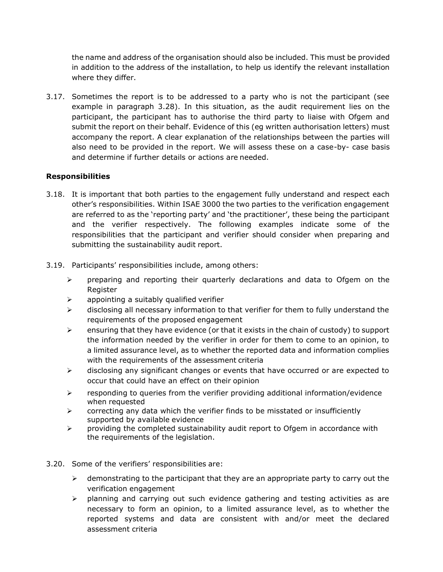the name and address of the organisation should also be included. This must be provided in addition to the address of the installation, to help us identify the relevant installation where they differ.

3.17. Sometimes the report is to be addressed to a party who is not the participant (see example in paragraph 3.28). In this situation, as the audit requirement lies on the participant, the participant has to authorise the third party to liaise with Ofgem and submit the report on their behalf. Evidence of this (eg written authorisation letters) must accompany the report. A clear explanation of the relationships between the parties will also need to be provided in the report. We will assess these on a case-by- case basis and determine if further details or actions are needed.

### **Responsibilities**

- 3.18. It is important that both parties to the engagement fully understand and respect each other's responsibilities. Within ISAE 3000 the two parties to the verification engagement are referred to as the 'reporting party' and 'the practitioner', these being the participant and the verifier respectively. The following examples indicate some of the responsibilities that the participant and verifier should consider when preparing and submitting the sustainability audit report.
- 3.19. Participants' responsibilities include, among others:
	- $\triangleright$  preparing and reporting their quarterly declarations and data to Ofgem on the Register
	- $\triangleright$  appointing a suitably qualified verifier
	- ➢ disclosing all necessary information to that verifier for them to fully understand the requirements of the proposed engagement
	- $\triangleright$  ensuring that they have evidence (or that it exists in the chain of custody) to support the information needed by the verifier in order for them to come to an opinion, to a limited assurance level, as to whether the reported data and information complies with the requirements of the assessment criteria
	- $\triangleright$  disclosing any significant changes or events that have occurred or are expected to occur that could have an effect on their opinion
	- ➢ responding to queries from the verifier providing additional information/evidence when requested
	- $\triangleright$  correcting any data which the verifier finds to be misstated or insufficiently supported by available evidence
	- $\triangleright$  providing the completed sustainability audit report to Ofgem in accordance with the requirements of the legislation.

### 3.20. Some of the verifiers' responsibilities are:

- $\triangleright$  demonstrating to the participant that they are an appropriate party to carry out the verification engagement
- $\triangleright$  planning and carrying out such evidence gathering and testing activities as are necessary to form an opinion, to a limited assurance level, as to whether the reported systems and data are consistent with and/or meet the declared assessment criteria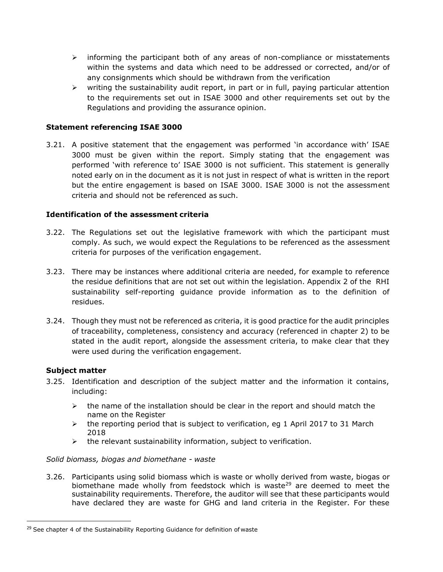- $\triangleright$  informing the participant both of any areas of non-compliance or misstatements within the systems and data which need to be addressed or corrected, and/or of any consignments which should be withdrawn from the verification
- $\triangleright$  writing the sustainability audit report, in part or in full, paying particular attention to the requirements set out in ISAE 3000 and other requirements set out by the Regulations and providing the assurance opinion.

### **Statement referencing ISAE 3000**

3.21. A positive statement that the engagement was performed 'in accordance with' ISAE 3000 must be given within the report. Simply stating that the engagement was performed 'with reference to' ISAE 3000 is not sufficient. This statement is generally noted early on in the document as it is not just in respect of what is written in the report but the entire engagement is based on ISAE 3000. ISAE 3000 is not the assessment criteria and should not be referenced as such.

### **Identification of the assessment criteria**

- 3.22. The Regulations set out the legislative framework with which the participant must comply. As such, we would expect the Regulations to be referenced as the assessment criteria for purposes of the verification engagement.
- 3.23. There may be instances where additional criteria are needed, for example to reference the residue definitions that are not set out within the legislation. Appendix 2 of the RHI sustainability self-reporting guidance provide information as to the definition of residues.
- 3.24. Though they must not be referenced as criteria, it is good practice for the audit principles of traceability, completeness, consistency and accuracy (referenced in chapter 2) to be stated in the audit report, alongside the assessment criteria, to make clear that they were used during the verification engagement.

### **Subject matter**

- 3.25. Identification and description of the subject matter and the information it contains, including:
	- $\triangleright$  the name of the installation should be clear in the report and should match the name on the Register
	- ➢ the reporting period that is subject to verification, eg 1 April 2017 to 31 March 2018
	- $\triangleright$  the relevant sustainability information, subject to verification.

### *Solid biomass, biogas and biomethane - waste*

3.26. Participants using solid biomass which is waste or wholly derived from waste, biogas or biomethane made wholly from feedstock which is waste<sup>29</sup> are deemed to meet the sustainability requirements. Therefore, the auditor will see that these participants would have declared they are waste for GHG and land criteria in the Register. For these

 $29$  See chapter 4 of the Sustainability Reporting Guidance for definition of waste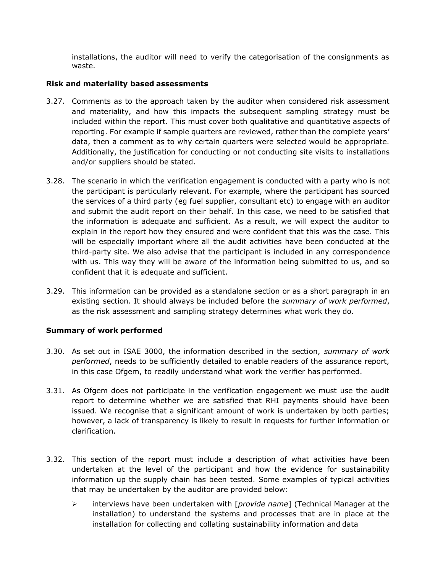installations, the auditor will need to verify the categorisation of the consignments as waste.

### **Risk and materiality based assessments**

- 3.27. Comments as to the approach taken by the auditor when considered risk assessment and materiality, and how this impacts the subsequent sampling strategy must be included within the report. This must cover both qualitative and quantitative aspects of reporting. For example if sample quarters are reviewed, rather than the complete years' data, then a comment as to why certain quarters were selected would be appropriate. Additionally, the justification for conducting or not conducting site visits to installations and/or suppliers should be stated.
- 3.28. The scenario in which the verification engagement is conducted with a party who is not the participant is particularly relevant. For example, where the participant has sourced the services of a third party (eg fuel supplier, consultant etc) to engage with an auditor and submit the audit report on their behalf. In this case, we need to be satisfied that the information is adequate and sufficient. As a result, we will expect the auditor to explain in the report how they ensured and were confident that this was the case. This will be especially important where all the audit activities have been conducted at the third-party site. We also advise that the participant is included in any correspondence with us. This way they will be aware of the information being submitted to us, and so confident that it is adequate and sufficient.
- 3.29. This information can be provided as a standalone section or as a short paragraph in an existing section. It should always be included before the *summary of work performed*, as the risk assessment and sampling strategy determines what work they do.

### **Summary of work performed**

- 3.30. As set out in ISAE 3000, the information described in the section, *summary of work performed*, needs to be sufficiently detailed to enable readers of the assurance report, in this case Ofgem, to readily understand what work the verifier has performed.
- 3.31. As Ofgem does not participate in the verification engagement we must use the audit report to determine whether we are satisfied that RHI payments should have been issued. We recognise that a significant amount of work is undertaken by both parties; however, a lack of transparency is likely to result in requests for further information or clarification.
- 3.32. This section of the report must include a description of what activities have been undertaken at the level of the participant and how the evidence for sustainability information up the supply chain has been tested. Some examples of typical activities that may be undertaken by the auditor are provided below:
	- ➢ interviews have been undertaken with [*provide name*] (Technical Manager at the installation) to understand the systems and processes that are in place at the installation for collecting and collating sustainability information and data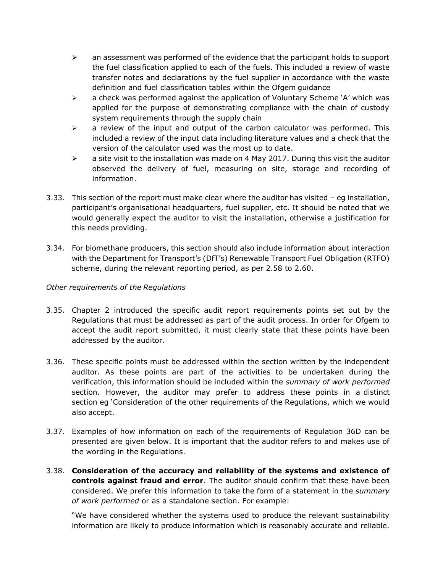- $\triangleright$  an assessment was performed of the evidence that the participant holds to support the fuel classification applied to each of the fuels. This included a review of waste transfer notes and declarations by the fuel supplier in accordance with the waste definition and fuel classification tables within the Ofgem guidance
- $\triangleright$  a check was performed against the application of Voluntary Scheme 'A' which was applied for the purpose of demonstrating compliance with the chain of custody system requirements through the supply chain
- $\triangleright$  a review of the input and output of the carbon calculator was performed. This included a review of the input data including literature values and a check that the version of the calculator used was the most up to date.
- $\triangleright$  a site visit to the installation was made on 4 May 2017. During this visit the auditor observed the delivery of fuel, measuring on site, storage and recording of information.
- 3.33. This section of the report must make clear where the auditor has visited eg installation, participant's organisational headquarters, fuel supplier, etc. It should be noted that we would generally expect the auditor to visit the installation, otherwise a justification for this needs providing.
- 3.34. For biomethane producers, this section should also include information about interaction with the Department for Transport's (DfT's) Renewable Transport Fuel Obligation (RTFO) scheme, during the relevant reporting period, as per 2.58 to 2.60.

### *Other requirements of the Regulations*

- 3.35. Chapter 2 introduced the specific audit report requirements points set out by the Regulations that must be addressed as part of the audit process. In order for Ofgem to accept the audit report submitted, it must clearly state that these points have been addressed by the auditor.
- 3.36. These specific points must be addressed within the section written by the independent auditor. As these points are part of the activities to be undertaken during the verification, this information should be included within the *summary of work performed* section. However, the auditor may prefer to address these points in a distinct section eg 'Consideration of the other requirements of the Regulations, which we would also accept.
- 3.37. Examples of how information on each of the requirements of Regulation 36D can be presented are given below. It is important that the auditor refers to and makes use of the wording in the Regulations.
- 3.38. **Consideration of the accuracy and reliability of the systems and existence of controls against fraud and error**. The auditor should confirm that these have been considered. We prefer this information to take the form of a statement in the *summary of work performed* or as a standalone section. For example:

"We have considered whether the systems used to produce the relevant sustainability information are likely to produce information which is reasonably accurate and reliable.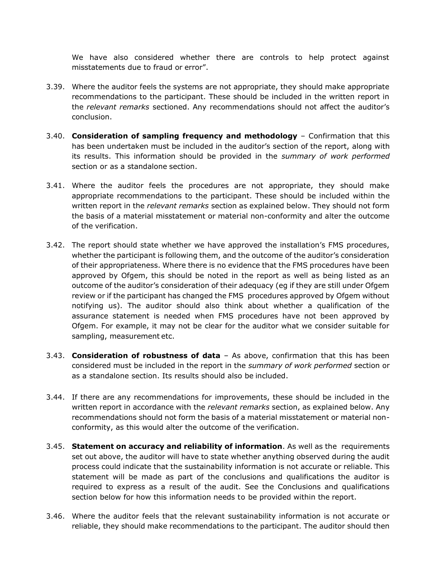We have also considered whether there are controls to help protect against misstatements due to fraud or error".

- 3.39. Where the auditor feels the systems are not appropriate, they should make appropriate recommendations to the participant. These should be included in the written report in the *relevant remarks* sectioned. Any recommendations should not affect the auditor's conclusion.
- 3.40. **Consideration of sampling frequency and methodology**  Confirmation that this has been undertaken must be included in the auditor's section of the report, along with its results. This information should be provided in the *summary of work performed*  section or as a standalone section.
- 3.41. Where the auditor feels the procedures are not appropriate, they should make appropriate recommendations to the participant. These should be included within the written report in the *relevant remarks* section as explained below. They should not form the basis of a material misstatement or material non-conformity and alter the outcome of the verification.
- 3.42. The report should state whether we have approved the installation's FMS procedures, whether the participant is following them, and the outcome of the auditor's consideration of their appropriateness. Where there is no evidence that the FMS procedures have been approved by Ofgem, this should be noted in the report as well as being listed as an outcome of the auditor's consideration of their adequacy (eg if they are still under Ofgem review or if the participant has changed the FMS procedures approved by Ofgem without notifying us). The auditor should also think about whether a qualification of the assurance statement is needed when FMS procedures have not been approved by Ofgem. For example, it may not be clear for the auditor what we consider suitable for sampling, measurement etc.
- 3.43. **Consideration of robustness of data**  As above, confirmation that this has been considered must be included in the report in the *summary of work performed* section or as a standalone section. Its results should also be included.
- 3.44. If there are any recommendations for improvements, these should be included in the written report in accordance with the *relevant remarks* section, as explained below. Any recommendations should not form the basis of a material misstatement or material nonconformity, as this would alter the outcome of the verification.
- 3.45. **Statement on accuracy and reliability of information**. As well as the requirements set out above, the auditor will have to state whether anything observed during the audit process could indicate that the sustainability information is not accurate or reliable. This statement will be made as part of the conclusions and qualifications the auditor is required to express as a result of the audit. See the Conclusions and qualifications section below for how this information needs to be provided within the report.
- 3.46. Where the auditor feels that the relevant sustainability information is not accurate or reliable, they should make recommendations to the participant. The auditor should then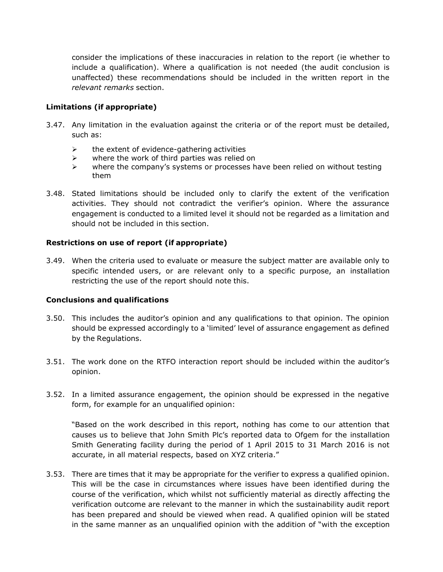consider the implications of these inaccuracies in relation to the report (ie whether to include a qualification). Where a qualification is not needed (the audit conclusion is unaffected) these recommendations should be included in the written report in the *relevant remarks* section.

### **Limitations (if appropriate)**

- 3.47. Any limitation in the evaluation against the criteria or of the report must be detailed, such as:
	- $\triangleright$  the extent of evidence-gathering activities
	- $\triangleright$  where the work of third parties was relied on
	- ➢ where the company's systems or processes have been relied on without testing them
- 3.48. Stated limitations should be included only to clarify the extent of the verification activities. They should not contradict the verifier's opinion. Where the assurance engagement is conducted to a limited level it should not be regarded as a limitation and should not be included in this section.

### **Restrictions on use of report (if appropriate)**

3.49. When the criteria used to evaluate or measure the subject matter are available only to specific intended users, or are relevant only to a specific purpose, an installation restricting the use of the report should note this.

### **Conclusions and qualifications**

- 3.50. This includes the auditor's opinion and any qualifications to that opinion. The opinion should be expressed accordingly to a 'limited' level of assurance engagement as defined by the Regulations.
- 3.51. The work done on the RTFO interaction report should be included within the auditor's opinion.
- 3.52. In a limited assurance engagement, the opinion should be expressed in the negative form, for example for an unqualified opinion:

"Based on the work described in this report, nothing has come to our attention that causes us to believe that John Smith Plc's reported data to Ofgem for the installation Smith Generating facility during the period of 1 April 2015 to 31 March 2016 is not accurate, in all material respects, based on XYZ criteria."

3.53. There are times that it may be appropriate for the verifier to express a qualified opinion. This will be the case in circumstances where issues have been identified during the course of the verification, which whilst not sufficiently material as directly affecting the verification outcome are relevant to the manner in which the sustainability audit report has been prepared and should be viewed when read. A qualified opinion will be stated in the same manner as an unqualified opinion with the addition of "with the exception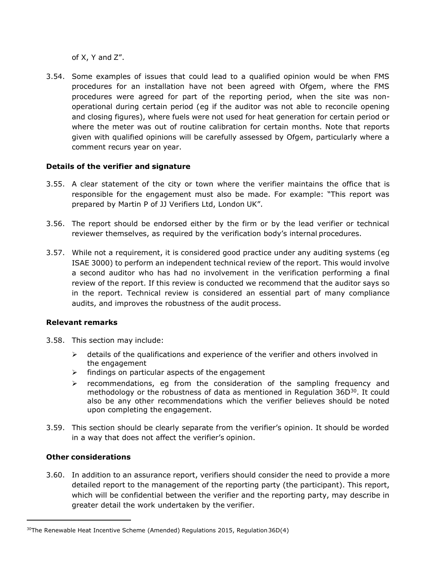of X, Y and Z".

3.54. Some examples of issues that could lead to a qualified opinion would be when FMS procedures for an installation have not been agreed with Ofgem, where the FMS procedures were agreed for part of the reporting period, when the site was nonoperational during certain period (eg if the auditor was not able to reconcile opening and closing figures), where fuels were not used for heat generation for certain period or where the meter was out of routine calibration for certain months. Note that reports given with qualified opinions will be carefully assessed by Ofgem, particularly where a comment recurs year on year.

### **Details of the verifier and signature**

- 3.55. A clear statement of the city or town where the verifier maintains the office that is responsible for the engagement must also be made. For example: "This report was prepared by Martin P of JJ Verifiers Ltd, London UK".
- 3.56. The report should be endorsed either by the firm or by the lead verifier or technical reviewer themselves, as required by the verification body's internal procedures.
- 3.57. While not a requirement, it is considered good practice under any auditing systems (eg ISAE 3000) to perform an independent technical review of the report. This would involve a second auditor who has had no involvement in the verification performing a final review of the report. If this review is conducted we recommend that the auditor says so in the report. Technical review is considered an essential part of many compliance audits, and improves the robustness of the audit process.

### **Relevant remarks**

- 3.58. This section may include:
	- $\triangleright$  details of the qualifications and experience of the verifier and others involved in the engagement
	- ➢ findings on particular aspects of the engagement
	- $\triangleright$  recommendations, eg from the consideration of the sampling frequency and methodology or the robustness of data as mentioned in Regulation  $36D^{30}$ . It could also be any other recommendations which the verifier believes should be noted upon completing the engagement.
- 3.59. This section should be clearly separate from the verifier's opinion. It should be worded in a way that does not affect the verifier's opinion.

### **Other considerations**

3.60. In addition to an assurance report, verifiers should consider the need to provide a more detailed report to the management of the reporting party (the participant). This report, which will be confidential between the verifier and the reporting party, may describe in greater detail the work undertaken by the verifier.

 $30$ The Renewable Heat Incentive Scheme (Amended) Regulations 2015, Regulation 36D(4)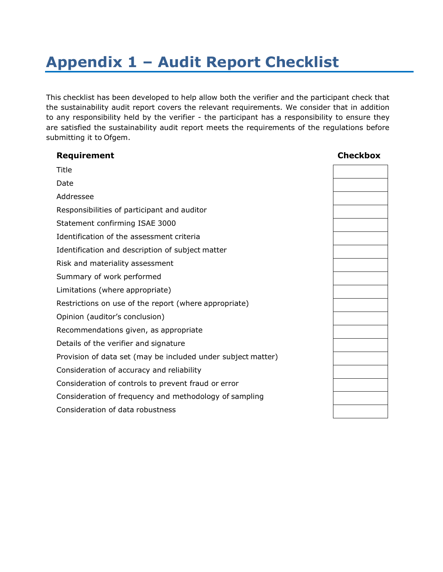# <span id="page-39-0"></span>**Appendix 1 – Audit Report Checklist**

This checklist has been developed to help allow both the verifier and the participant check that the sustainability audit report covers the relevant requirements. We consider that in addition to any responsibility held by the verifier - the participant has a responsibility to ensure they are satisfied the sustainability audit report meets the requirements of the regulations before submitting it to Ofgem.

| Requirement                                                  | <b>Checkbox</b> |
|--------------------------------------------------------------|-----------------|
| Title                                                        |                 |
| Date                                                         |                 |
| Addressee                                                    |                 |
| Responsibilities of participant and auditor                  |                 |
| Statement confirming ISAE 3000                               |                 |
| Identification of the assessment criteria                    |                 |
| Identification and description of subject matter             |                 |
| Risk and materiality assessment                              |                 |
| Summary of work performed                                    |                 |
| Limitations (where appropriate)                              |                 |
| Restrictions on use of the report (where appropriate)        |                 |
| Opinion (auditor's conclusion)                               |                 |
| Recommendations given, as appropriate                        |                 |
| Details of the verifier and signature                        |                 |
| Provision of data set (may be included under subject matter) |                 |
| Consideration of accuracy and reliability                    |                 |
| Consideration of controls to prevent fraud or error          |                 |
| Consideration of frequency and methodology of sampling       |                 |
| Consideration of data robustness                             |                 |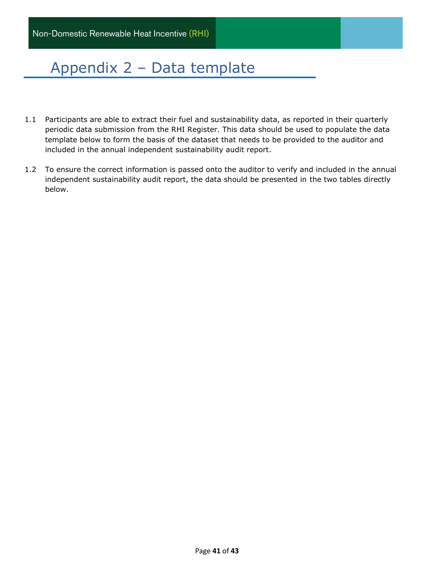# <span id="page-40-0"></span>Appendix 2 – Data template

- 1.1 Participants are able to extract their fuel and sustainability data, as reported in their quarterly periodic data submission from the RHI Register. This data should be used to populate the data template below to form the basis of the dataset that needs to be provided to the auditor and included in the annual independent sustainability audit report.
- 1.2 To ensure the correct information is passed onto the auditor to verify and included in the annual independent sustainability audit report, the data should be presented in the two tables directly below.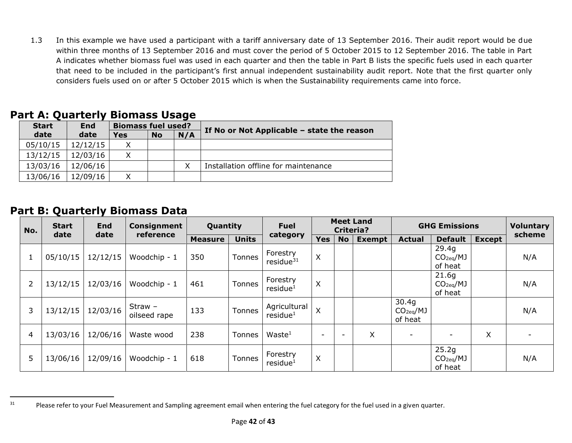1.3 In this example we have used a participant with a tariff anniversary date of 13 September 2016. Their audit report would be due within three months of 13 September 2016 and must cover the period of 5 October 2015 to 12 September 2016. The table in Part A indicates whether biomass fuel was used in each quarter and then the table in Part B lists the specific fuels used in each quarter that need to be included in the participant's first annual independent sustainability audit report. Note that the first quarter only considers fuels used on or after 5 October 2015 which is when the Sustainability requirements came into force.

| Part A: Quarterly Biomass Usage |
|---------------------------------|
|---------------------------------|

| <b>Start</b> | End      |     | <b>Biomass fuel used?</b> |     |                                              |  |  |  |  |
|--------------|----------|-----|---------------------------|-----|----------------------------------------------|--|--|--|--|
| date         | date     | Yes | <b>No</b>                 | N/A | If No or Not Applicable $-$ state the reason |  |  |  |  |
| 05/10/15     | 12/12/15 | X   |                           |     |                                              |  |  |  |  |
| 13/12/15     | 12/03/16 | X   |                           |     |                                              |  |  |  |  |
| 13/03/16     | 12/06/16 |     |                           | X   | Installation offline for maintenance         |  |  |  |  |
| 13/06/16     | 12/09/16 | Χ   |                           |     |                                              |  |  |  |  |

## **Part B: Quarterly Biomass Data**

| No. |                | <b>Start</b> | <b>End</b><br>date | Consignment               | Quantity       |               | <b>Fuel</b>                          | <b>Meet Land</b><br><b>Criteria?</b> |                          |               | <b>GHG Emissions</b>                      |                                           | <b>Voluntary</b> |        |
|-----|----------------|--------------|--------------------|---------------------------|----------------|---------------|--------------------------------------|--------------------------------------|--------------------------|---------------|-------------------------------------------|-------------------------------------------|------------------|--------|
|     |                | date         |                    | reference                 | <b>Measure</b> | <b>Units</b>  | category                             | <b>Yes</b>                           | <b>No</b>                | <b>Exempt</b> | <b>Actual</b>                             | <b>Default</b>                            | <b>Except</b>    | scheme |
|     |                | 05/10/15     | 12/12/15           | Woodchip - 1              | 350            | Tonnes        | Forestry<br>residue $31$             | X                                    |                          |               |                                           | 29.4g<br>CO <sub>2eq</sub> /MJ<br>of heat |                  | N/A    |
|     | $\overline{2}$ | 13/12/15     | 12/03/16           | Woodchip - 1              | 461            | Tonnes        | Forestry<br>residue <sup>1</sup>     | X                                    |                          |               |                                           | 21.6g<br>CO <sub>2eq</sub> /MJ<br>of heat |                  | N/A    |
|     | 3              | 13/12/15     | 12/03/16           | $Straw -$<br>oilseed rape | 133            | Tonnes        | Agricultural<br>residue <sup>1</sup> | X                                    |                          |               | 30.4q<br>CO <sub>2eq</sub> /MJ<br>of heat |                                           |                  | N/A    |
|     | 4              | 13/03/16     | 12/06/16           | Waste wood                | 238            | <b>Tonnes</b> | Waste <sup>1</sup>                   | $\overline{\phantom{0}}$             | $\overline{\phantom{0}}$ | Χ             |                                           |                                           | X                |        |
|     | 5              | 13/06/16     | 12/09/16           | Woodchip - 1              | 618            | Tonnes        | Forestry<br>residue <sup>1</sup>     | X                                    |                          |               |                                           | 25.2g<br>CO <sub>2eq</sub> /MJ<br>of heat |                  | N/A    |

<sup>&</sup>lt;sup>31</sup> Please refer to your Fuel Measurement and Sampling agreement email when entering the fuel category for the fuel used in a given quarter.